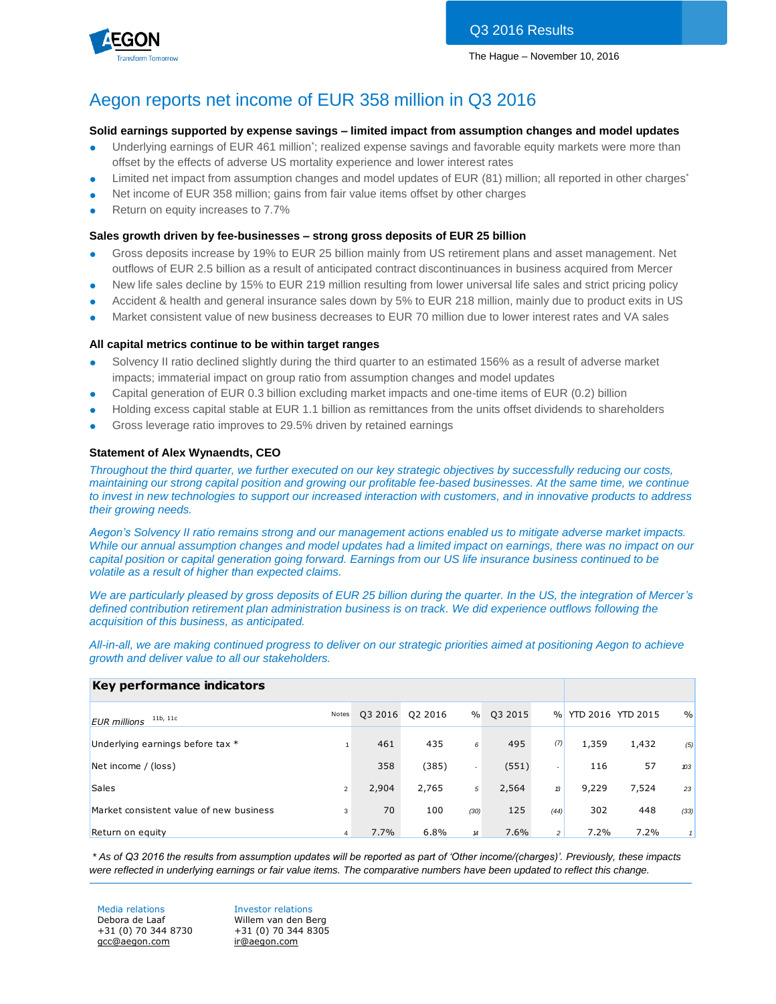



## Aegon reports net income of EUR 358 million in Q3 2016

#### **Solid earnings supported by expense savings – limited impact from assumption changes and model updates**

- Underlying earnings of EUR 461 million<sup>\*</sup>; realized expense savings and favorable equity markets were more than offset by the effects of adverse US mortality experience and lower interest rates
- Limited net impact from assumption changes and model updates of EUR (81) million; all reported in other charges\*
- Net income of EUR 358 million; gains from fair value items offset by other charges
- Return on equity increases to 7.7%

#### **Sales growth driven by fee-businesses – strong gross deposits of EUR 25 billion**

- Gross deposits increase by 19% to EUR 25 billion mainly from US retirement plans and asset management. Net outflows of EUR 2.5 billion as a result of anticipated contract discontinuances in business acquired from Mercer
- New life sales decline by 15% to EUR 219 million resulting from lower universal life sales and strict pricing policy
- Accident & health and general insurance sales down by 5% to EUR 218 million, mainly due to product exits in US
- Market consistent value of new business decreases to EUR 70 million due to lower interest rates and VA sales

#### **All capital metrics continue to be within target ranges**

- Solvency II ratio declined slightly during the third quarter to an estimated 156% as a result of adverse market impacts; immaterial impact on group ratio from assumption changes and model updates
- Capital generation of EUR 0.3 billion excluding market impacts and one-time items of EUR (0.2) billion
- Holding excess capital stable at EUR 1.1 billion as remittances from the units offset dividends to shareholders
- Gross leverage ratio improves to 29.5% driven by retained earnings

#### **Statement of Alex Wynaendts, CEO**

*Throughout the third quarter, we further executed on our key strategic objectives by successfully reducing our costs, maintaining our strong capital position and growing our profitable fee-based businesses. At the same time, we continue to invest in new technologies to support our increased interaction with customers, and in innovative products to address their growing needs.*

*Aegon's Solvency II ratio remains strong and our management actions enabled us to mitigate adverse market impacts. While our annual assumption changes and model updates had a limited impact on earnings, there was no impact on our capital position or capital generation going forward. Earnings from our US life insurance business continued to be volatile as a result of higher than expected claims.*

*We are particularly pleased by gross deposits of EUR 25 billion during the quarter. In the US, the integration of Mercer's defined contribution retirement plan administration business is on track. We did experience outflows following the acquisition of this business, as anticipated.*

*All-in-all, we are making continued progress to deliver on our strategic priorities aimed at positioning Aegon to achieve growth and deliver value to all our stakeholders.*

### **Key performance indicators**

| <u>, periormanec mandatore</u>          |                |         |         |                          |         |                |                   |       |               |
|-----------------------------------------|----------------|---------|---------|--------------------------|---------|----------------|-------------------|-------|---------------|
| 11b, 11c<br><b>EUR</b> millions         | Notes          | Q3 2016 | Q2 2016 | $\%$                     | Q3 2015 | $\frac{9}{6}$  | YTD 2016 YTD 2015 |       | $\frac{0}{0}$ |
| Underlying earnings before tax *        |                | 461     | 435     | 6                        | 495     | (7)            | 1,359             | 1,432 | (5)           |
| Net income / (loss)                     |                | 358     | (385)   | $\overline{\phantom{a}}$ | (551)   | ۰.             | 116               | 57    | $x^2$         |
| <b>Sales</b>                            | $\overline{2}$ | 2,904   | 2,765   | 5                        | 2,564   | 13             | 9,229             | 7,524 | 23            |
| Market consistent value of new business | 3              | 70      | 100     | (30)                     | 125     | (44)           | 302               | 448   | (33)          |
| Return on equity                        | 4              | 7.7%    | 6.8%    | 14                       | 7.6%    | 2 <sup>1</sup> | 7.2%              | 7.2%  |               |

*\* As of Q3 2016 the results from assumption updates will be reported as part of 'Other income/(charges)'. Previously, these impacts were reflected in underlying earnings or fair value items. The comparative numbers have been updated to reflect this change.*

Media relations **Investor relations** Debora de Laaf Willem van den Berg +31 (0) 70 344 8730 +31 (0) 70 344 8305 [gcc@aegon.com](mailto:gcc@aegon.com) [ir@aegon.com](mailto:ir@aegon.com)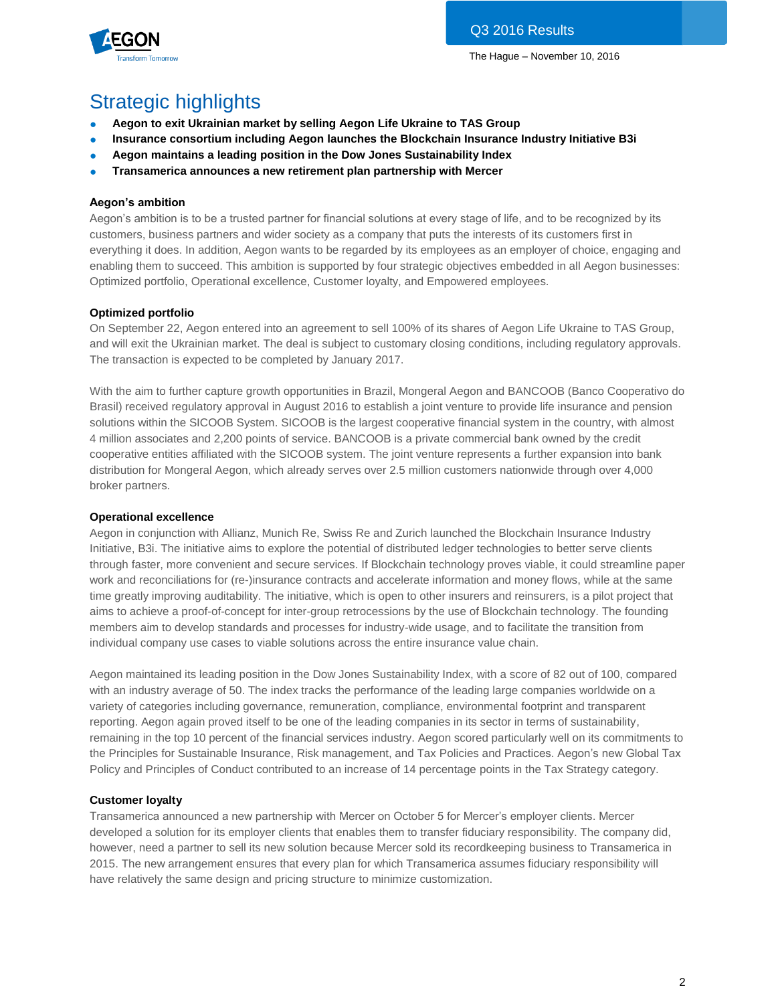

# Strategic highlights

- **Aegon to exit Ukrainian market by selling Aegon Life Ukraine to TAS Group**
- **Insurance consortium including Aegon launches the Blockchain Insurance Industry Initiative B3i**
- **Aegon maintains a leading position in the Dow Jones Sustainability Index**
- **Transamerica announces a new retirement plan partnership with Mercer**

### **Aegon's ambition**

Aegon's ambition is to be a trusted partner for financial solutions at every stage of life, and to be recognized by its customers, business partners and wider society as a company that puts the interests of its customers first in everything it does. In addition, Aegon wants to be regarded by its employees as an employer of choice, engaging and enabling them to succeed. This ambition is supported by four strategic objectives embedded in all Aegon businesses: Optimized portfolio, Operational excellence, Customer loyalty, and Empowered employees.

#### **Optimized portfolio**

On September 22, Aegon entered into an agreement to sell 100% of its shares of Aegon Life Ukraine to TAS Group, and will exit the Ukrainian market. The deal is subject to customary closing conditions, including regulatory approvals. The transaction is expected to be completed by January 2017.

With the aim to further capture growth opportunities in Brazil, Mongeral Aegon and BANCOOB (Banco Cooperativo do Brasil) received regulatory approval in August 2016 to establish a joint venture to provide life insurance and pension solutions within the SICOOB System. SICOOB is the largest cooperative financial system in the country, with almost 4 million associates and 2,200 points of service. BANCOOB is a private commercial bank owned by the credit cooperative entities affiliated with the SICOOB system. The joint venture represents a further expansion into bank distribution for Mongeral Aegon, which already serves over 2.5 million customers nationwide through over 4,000 broker partners.

### **Operational excellence**

Aegon in conjunction with Allianz, Munich Re, Swiss Re and Zurich launched the Blockchain Insurance Industry Initiative, B3i. The initiative aims to explore the potential of distributed ledger technologies to better serve clients through faster, more convenient and secure services. If Blockchain technology proves viable, it could streamline paper work and reconciliations for (re-)insurance contracts and accelerate information and money flows, while at the same time greatly improving auditability. The initiative, which is open to other insurers and reinsurers, is a pilot project that aims to achieve a proof-of-concept for inter-group retrocessions by the use of Blockchain technology. The founding members aim to develop standards and processes for industry-wide usage, and to facilitate the transition from individual company use cases to viable solutions across the entire insurance value chain.

Aegon maintained its leading position in the Dow Jones Sustainability Index, with a score of 82 out of 100, compared with an industry average of 50. The index tracks the performance of the leading large companies worldwide on a variety of categories including governance, remuneration, compliance, environmental footprint and transparent reporting. Aegon again proved itself to be one of the leading companies in its sector in terms of sustainability, remaining in the top 10 percent of the financial services industry. Aegon scored particularly well on its commitments to the Principles for Sustainable Insurance, Risk management, and Tax Policies and Practices. Aegon's new Global Tax Policy and Principles of Conduct contributed to an increase of 14 percentage points in the Tax Strategy category.

#### **Customer loyalty**

Transamerica announced a new partnership with Mercer on October 5 for Mercer's employer clients. Mercer developed a solution for its employer clients that enables them to transfer fiduciary responsibility. The company did, however, need a partner to sell its new solution because Mercer sold its recordkeeping business to Transamerica in 2015. The new arrangement ensures that every plan for which Transamerica assumes fiduciary responsibility will have relatively the same design and pricing structure to minimize customization.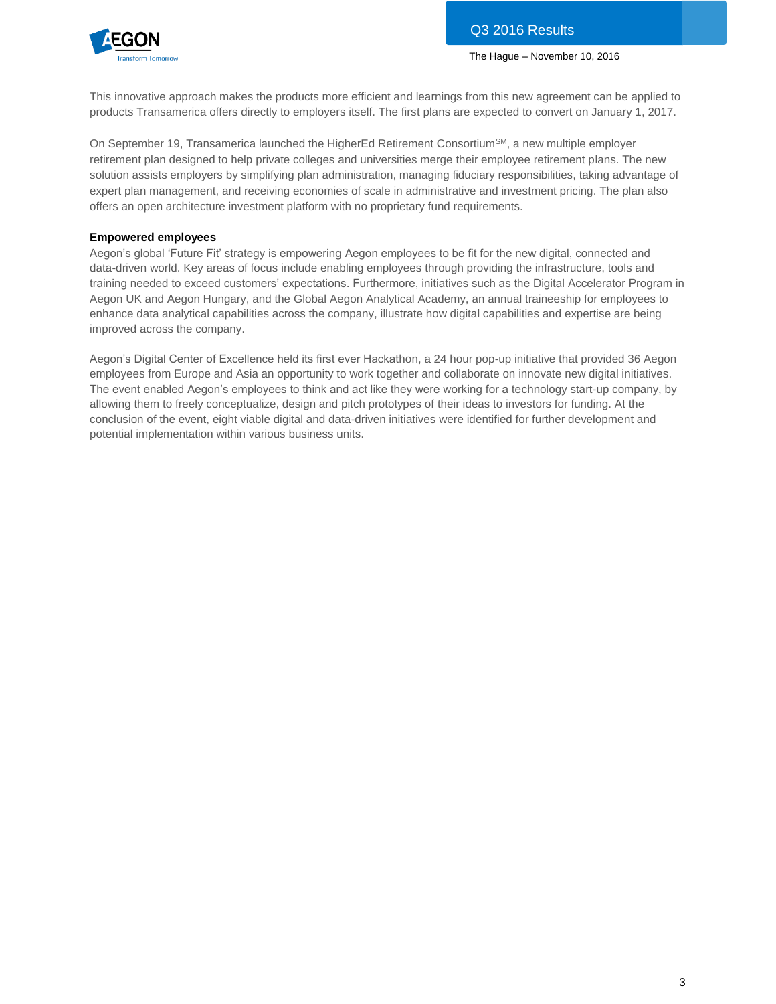

This innovative approach makes the products more efficient and learnings from this new agreement can be applied to products Transamerica offers directly to employers itself. The first plans are expected to convert on January 1, 2017.

On September 19, Transamerica launched the HigherEd Retirement Consortium<sup>SM</sup>, a new multiple employer retirement plan designed to help private colleges and universities merge their employee retirement plans. The new solution assists employers by simplifying plan administration, managing fiduciary responsibilities, taking advantage of expert plan management, and receiving economies of scale in administrative and investment pricing. The plan also offers an open architecture investment platform with no proprietary fund requirements.

### **Empowered employees**

Aegon's global 'Future Fit' strategy is empowering Aegon employees to be fit for the new digital, connected and data-driven world. Key areas of focus include enabling employees through providing the infrastructure, tools and training needed to exceed customers' expectations. Furthermore, initiatives such as the Digital Accelerator Program in Aegon UK and Aegon Hungary, and the Global Aegon Analytical Academy, an annual traineeship for employees to enhance data analytical capabilities across the company, illustrate how digital capabilities and expertise are being improved across the company.

Aegon's Digital Center of Excellence held its first ever Hackathon, a 24 hour pop-up initiative that provided 36 Aegon employees from Europe and Asia an opportunity to work together and collaborate on innovate new digital initiatives. The event enabled Aegon's employees to think and act like they were working for a technology start-up company, by allowing them to freely conceptualize, design and pitch prototypes of their ideas to investors for funding. At the conclusion of the event, eight viable digital and data-driven initiatives were identified for further development and potential implementation within various business units.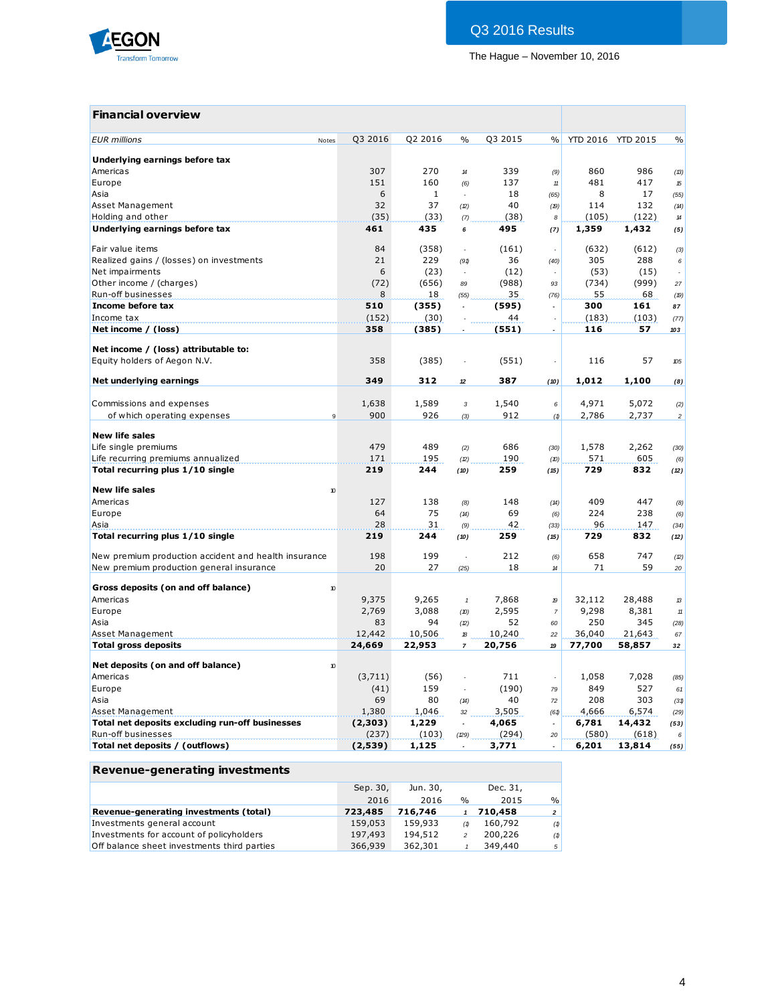

## **Financial overview**

| Q3 2016<br><b>EUR</b> millions<br>Notes<br>Underlying earnings before tax<br>Americas<br>307<br>Europe<br>151<br>6<br>Asia<br>32<br>Asset Management<br>Holding and other<br>(35)<br>Underlying earnings before tax<br>461<br>Fair value items<br>84<br>Realized gains / (losses) on investments<br>21<br>6<br>Net impairments<br>Other income / (charges)<br>(72)<br>Run-off businesses<br>8<br>Income before tax<br>510<br>Income tax<br>(152) | Q2 2016<br>270<br>160<br>$\mathbf{1}$<br>37<br>(33)<br>435<br>(358)<br>229<br>(23)<br>(656)<br>18<br>(355)<br>(30)<br>(385)<br>(385)<br>312 | $\frac{0}{0}$<br>$\boldsymbol{\mathcal{H}}$<br>(6)<br>L.<br>(2)<br>(7)<br>6<br>÷,<br>(91)<br>89<br>(55) | Q3 2015<br>339<br>137<br>18<br>40<br>(38)<br>495<br>(161)<br>36<br>(12)<br>(988)<br>35<br>(595)<br>44<br>(551)<br>(551) | $\frac{0}{0}$<br>(9)<br>$11\,$<br>(65)<br>(19)<br>8<br>(7)<br>÷<br>(40)<br>93<br>(76)<br>$\overline{a}$<br>$\overline{\phantom{a}}$ | YTD 2016 YTD 2015<br>860<br>481<br>8<br>114<br>(105)<br>1,359<br>(632)<br>305<br>(53)<br>(734)<br>55<br>300<br>(183)<br>116 | 986<br>417<br>17<br>132<br>(122)<br>1,432<br>(612)<br>288<br>(15)<br>(999)<br>68<br>161<br>(103)<br>57 | $\frac{0}{0}$<br>(13)<br>15<br>(55)<br>(14)<br>$14\,$<br>(5)<br>(3)<br>6<br>27<br>(19)<br>87<br>(77)<br>103 |
|--------------------------------------------------------------------------------------------------------------------------------------------------------------------------------------------------------------------------------------------------------------------------------------------------------------------------------------------------------------------------------------------------------------------------------------------------|---------------------------------------------------------------------------------------------------------------------------------------------|---------------------------------------------------------------------------------------------------------|-------------------------------------------------------------------------------------------------------------------------|-------------------------------------------------------------------------------------------------------------------------------------|-----------------------------------------------------------------------------------------------------------------------------|--------------------------------------------------------------------------------------------------------|-------------------------------------------------------------------------------------------------------------|
|                                                                                                                                                                                                                                                                                                                                                                                                                                                  |                                                                                                                                             |                                                                                                         |                                                                                                                         |                                                                                                                                     |                                                                                                                             |                                                                                                        |                                                                                                             |
|                                                                                                                                                                                                                                                                                                                                                                                                                                                  |                                                                                                                                             |                                                                                                         |                                                                                                                         |                                                                                                                                     |                                                                                                                             |                                                                                                        |                                                                                                             |
|                                                                                                                                                                                                                                                                                                                                                                                                                                                  |                                                                                                                                             |                                                                                                         |                                                                                                                         |                                                                                                                                     |                                                                                                                             |                                                                                                        |                                                                                                             |
|                                                                                                                                                                                                                                                                                                                                                                                                                                                  |                                                                                                                                             |                                                                                                         |                                                                                                                         |                                                                                                                                     |                                                                                                                             |                                                                                                        |                                                                                                             |
|                                                                                                                                                                                                                                                                                                                                                                                                                                                  |                                                                                                                                             |                                                                                                         |                                                                                                                         |                                                                                                                                     |                                                                                                                             |                                                                                                        |                                                                                                             |
|                                                                                                                                                                                                                                                                                                                                                                                                                                                  |                                                                                                                                             |                                                                                                         |                                                                                                                         |                                                                                                                                     |                                                                                                                             |                                                                                                        |                                                                                                             |
|                                                                                                                                                                                                                                                                                                                                                                                                                                                  |                                                                                                                                             |                                                                                                         |                                                                                                                         |                                                                                                                                     |                                                                                                                             |                                                                                                        |                                                                                                             |
|                                                                                                                                                                                                                                                                                                                                                                                                                                                  |                                                                                                                                             |                                                                                                         |                                                                                                                         |                                                                                                                                     |                                                                                                                             |                                                                                                        |                                                                                                             |
|                                                                                                                                                                                                                                                                                                                                                                                                                                                  |                                                                                                                                             |                                                                                                         |                                                                                                                         |                                                                                                                                     |                                                                                                                             |                                                                                                        |                                                                                                             |
|                                                                                                                                                                                                                                                                                                                                                                                                                                                  |                                                                                                                                             |                                                                                                         |                                                                                                                         |                                                                                                                                     |                                                                                                                             |                                                                                                        |                                                                                                             |
|                                                                                                                                                                                                                                                                                                                                                                                                                                                  |                                                                                                                                             |                                                                                                         |                                                                                                                         |                                                                                                                                     |                                                                                                                             |                                                                                                        |                                                                                                             |
|                                                                                                                                                                                                                                                                                                                                                                                                                                                  |                                                                                                                                             |                                                                                                         |                                                                                                                         |                                                                                                                                     |                                                                                                                             |                                                                                                        |                                                                                                             |
|                                                                                                                                                                                                                                                                                                                                                                                                                                                  |                                                                                                                                             |                                                                                                         |                                                                                                                         |                                                                                                                                     |                                                                                                                             |                                                                                                        |                                                                                                             |
|                                                                                                                                                                                                                                                                                                                                                                                                                                                  |                                                                                                                                             |                                                                                                         |                                                                                                                         |                                                                                                                                     |                                                                                                                             |                                                                                                        |                                                                                                             |
|                                                                                                                                                                                                                                                                                                                                                                                                                                                  |                                                                                                                                             |                                                                                                         |                                                                                                                         |                                                                                                                                     |                                                                                                                             |                                                                                                        |                                                                                                             |
|                                                                                                                                                                                                                                                                                                                                                                                                                                                  |                                                                                                                                             |                                                                                                         |                                                                                                                         |                                                                                                                                     |                                                                                                                             |                                                                                                        |                                                                                                             |
| Net income / (loss)<br>358                                                                                                                                                                                                                                                                                                                                                                                                                       |                                                                                                                                             |                                                                                                         |                                                                                                                         |                                                                                                                                     |                                                                                                                             |                                                                                                        |                                                                                                             |
| Net income / (loss) attributable to:                                                                                                                                                                                                                                                                                                                                                                                                             |                                                                                                                                             |                                                                                                         |                                                                                                                         |                                                                                                                                     |                                                                                                                             |                                                                                                        |                                                                                                             |
| Equity holders of Aegon N.V.<br>358                                                                                                                                                                                                                                                                                                                                                                                                              |                                                                                                                                             |                                                                                                         |                                                                                                                         |                                                                                                                                     | 116                                                                                                                         | 57                                                                                                     | 105                                                                                                         |
| 349                                                                                                                                                                                                                                                                                                                                                                                                                                              |                                                                                                                                             |                                                                                                         | 387                                                                                                                     |                                                                                                                                     | 1,012                                                                                                                       | 1,100                                                                                                  |                                                                                                             |
| Net underlying earnings                                                                                                                                                                                                                                                                                                                                                                                                                          |                                                                                                                                             | 12                                                                                                      |                                                                                                                         | (10)                                                                                                                                |                                                                                                                             |                                                                                                        | (8)                                                                                                         |
| Commissions and expenses<br>1,638                                                                                                                                                                                                                                                                                                                                                                                                                | 1,589                                                                                                                                       | 3                                                                                                       | 1,540                                                                                                                   | 6                                                                                                                                   | 4,971                                                                                                                       | 5,072                                                                                                  | (2)                                                                                                         |
| 900<br>of which operating expenses<br>9                                                                                                                                                                                                                                                                                                                                                                                                          | 926                                                                                                                                         | (3)                                                                                                     | 912                                                                                                                     | (1)                                                                                                                                 | 2,786                                                                                                                       | 2,737                                                                                                  | $\overline{c}$                                                                                              |
|                                                                                                                                                                                                                                                                                                                                                                                                                                                  |                                                                                                                                             |                                                                                                         |                                                                                                                         |                                                                                                                                     |                                                                                                                             |                                                                                                        |                                                                                                             |
| <b>New life sales</b>                                                                                                                                                                                                                                                                                                                                                                                                                            |                                                                                                                                             |                                                                                                         |                                                                                                                         |                                                                                                                                     |                                                                                                                             |                                                                                                        |                                                                                                             |
| 479<br>Life single premiums                                                                                                                                                                                                                                                                                                                                                                                                                      | 489                                                                                                                                         | (2)                                                                                                     | 686                                                                                                                     | (30)                                                                                                                                | 1,578                                                                                                                       | 2,262                                                                                                  | (30)                                                                                                        |
| Life recurring premiums annualized<br>171                                                                                                                                                                                                                                                                                                                                                                                                        | 195                                                                                                                                         | (2)                                                                                                     | 190                                                                                                                     | (10)                                                                                                                                | 571                                                                                                                         | 605                                                                                                    | (6)                                                                                                         |
| Total recurring plus 1/10 single<br>219                                                                                                                                                                                                                                                                                                                                                                                                          | 244                                                                                                                                         | (10)                                                                                                    | 259                                                                                                                     | (15)                                                                                                                                | 729                                                                                                                         | 832                                                                                                    | (12)                                                                                                        |
| <b>New life sales</b><br>10                                                                                                                                                                                                                                                                                                                                                                                                                      |                                                                                                                                             |                                                                                                         |                                                                                                                         |                                                                                                                                     |                                                                                                                             |                                                                                                        |                                                                                                             |
| Americas<br>127                                                                                                                                                                                                                                                                                                                                                                                                                                  | 138                                                                                                                                         | (8)                                                                                                     | 148                                                                                                                     | (14)                                                                                                                                | 409                                                                                                                         | 447                                                                                                    | (8)                                                                                                         |
| 64<br>Europe                                                                                                                                                                                                                                                                                                                                                                                                                                     | 75                                                                                                                                          | (14)                                                                                                    | 69                                                                                                                      | (6)                                                                                                                                 | 224                                                                                                                         | 238                                                                                                    | (6)                                                                                                         |
| 28<br>Asia                                                                                                                                                                                                                                                                                                                                                                                                                                       | 31                                                                                                                                          | (9)                                                                                                     | 42                                                                                                                      | (33)                                                                                                                                | 96                                                                                                                          | 147                                                                                                    | (34)                                                                                                        |
| Total recurring plus 1/10 single<br>219                                                                                                                                                                                                                                                                                                                                                                                                          | 244                                                                                                                                         | (10)                                                                                                    | 259                                                                                                                     | (15)                                                                                                                                | 729                                                                                                                         | 832                                                                                                    | (12)                                                                                                        |
|                                                                                                                                                                                                                                                                                                                                                                                                                                                  |                                                                                                                                             |                                                                                                         |                                                                                                                         |                                                                                                                                     |                                                                                                                             |                                                                                                        |                                                                                                             |
| 198<br>New premium production accident and health insurance                                                                                                                                                                                                                                                                                                                                                                                      | 199                                                                                                                                         |                                                                                                         | 212                                                                                                                     | (6)                                                                                                                                 | 658                                                                                                                         | 747                                                                                                    | (2)                                                                                                         |
| New premium production general insurance<br>20                                                                                                                                                                                                                                                                                                                                                                                                   | 27                                                                                                                                          | (25)                                                                                                    | 18                                                                                                                      | $\boldsymbol{\mathcal{U}}$                                                                                                          | 71                                                                                                                          | 59                                                                                                     | 20                                                                                                          |
| Gross deposits (on and off balance)<br>10                                                                                                                                                                                                                                                                                                                                                                                                        |                                                                                                                                             |                                                                                                         |                                                                                                                         |                                                                                                                                     |                                                                                                                             |                                                                                                        |                                                                                                             |
| Americas<br>9,375                                                                                                                                                                                                                                                                                                                                                                                                                                | 9,265                                                                                                                                       | $\mathbf{1}$                                                                                            | 7,868                                                                                                                   | 19                                                                                                                                  | 32,112                                                                                                                      | 28,488                                                                                                 | 13                                                                                                          |
| 2,769<br>Europe                                                                                                                                                                                                                                                                                                                                                                                                                                  | 3,088                                                                                                                                       | (10)                                                                                                    | 2,595                                                                                                                   | $\overline{7}$                                                                                                                      | 9,298                                                                                                                       | 8,381                                                                                                  | $11\,$                                                                                                      |
| 83<br>Asia                                                                                                                                                                                                                                                                                                                                                                                                                                       | 94                                                                                                                                          | (2)                                                                                                     | 52                                                                                                                      | 60                                                                                                                                  | 250                                                                                                                         | 345                                                                                                    | (28)                                                                                                        |
| Asset Management<br>12,442                                                                                                                                                                                                                                                                                                                                                                                                                       | 10,506                                                                                                                                      | 18                                                                                                      | 10,240                                                                                                                  | 22                                                                                                                                  | 36,040                                                                                                                      | 21,643                                                                                                 | 67                                                                                                          |
| <b>Total gross deposits</b><br>24,669                                                                                                                                                                                                                                                                                                                                                                                                            | 22,953                                                                                                                                      | $\overline{7}$                                                                                          | 20,756                                                                                                                  | 19                                                                                                                                  | 77,700                                                                                                                      | 58,857                                                                                                 | 32                                                                                                          |
|                                                                                                                                                                                                                                                                                                                                                                                                                                                  |                                                                                                                                             |                                                                                                         |                                                                                                                         |                                                                                                                                     |                                                                                                                             |                                                                                                        |                                                                                                             |
| Net deposits (on and off balance)<br>10                                                                                                                                                                                                                                                                                                                                                                                                          |                                                                                                                                             |                                                                                                         |                                                                                                                         |                                                                                                                                     |                                                                                                                             |                                                                                                        |                                                                                                             |
| Americas<br>(3,711)                                                                                                                                                                                                                                                                                                                                                                                                                              | (56)                                                                                                                                        | ÷.                                                                                                      | 711                                                                                                                     | ÷,                                                                                                                                  | 1,058                                                                                                                       | 7,028                                                                                                  | (85)                                                                                                        |
| Europe<br>(41)                                                                                                                                                                                                                                                                                                                                                                                                                                   | 159                                                                                                                                         | $\sim$                                                                                                  | (190)                                                                                                                   | 79                                                                                                                                  | 849                                                                                                                         | 527                                                                                                    | 61                                                                                                          |
| 69<br>Asia                                                                                                                                                                                                                                                                                                                                                                                                                                       | 80                                                                                                                                          | (14)                                                                                                    | 40                                                                                                                      | 72                                                                                                                                  | 208                                                                                                                         | 303                                                                                                    | (31)                                                                                                        |
| Asset Management<br>1,380                                                                                                                                                                                                                                                                                                                                                                                                                        | 1,046                                                                                                                                       | 32                                                                                                      | 3,505                                                                                                                   | (61)                                                                                                                                | 4,666                                                                                                                       | 6,574                                                                                                  | (29)                                                                                                        |
| Total net deposits excluding run-off businesses<br>(2,303)                                                                                                                                                                                                                                                                                                                                                                                       | 1,229                                                                                                                                       | $\overline{\phantom{a}}$                                                                                | 4,065                                                                                                                   | $\overline{\phantom{a}}$                                                                                                            | 6,781                                                                                                                       | 14,432                                                                                                 | (53)                                                                                                        |
| Run-off businesses<br>(237)                                                                                                                                                                                                                                                                                                                                                                                                                      | (103)                                                                                                                                       | (29)                                                                                                    | (294)                                                                                                                   | 20                                                                                                                                  | (580)                                                                                                                       | (618)                                                                                                  | 6                                                                                                           |
| Total net deposits / (outflows)<br>(2,539)                                                                                                                                                                                                                                                                                                                                                                                                       | 1,125                                                                                                                                       | $\overline{\phantom{a}}$                                                                                | 3,771                                                                                                                   | $\overline{a}$                                                                                                                      | 6,201                                                                                                                       | 13,814                                                                                                 | (55)                                                                                                        |

|  | Revenue-generating investments |
|--|--------------------------------|
|  |                                |

|                                             | Sep. 30, | Jun. 30, |               | Dec. 31, |                |
|---------------------------------------------|----------|----------|---------------|----------|----------------|
|                                             | 2016     | 2016     | $\frac{1}{2}$ | 2015     | $\frac{9}{6}$  |
| Revenue-generating investments (total)      | 723,485  | 716,746  |               | 710,458  | $\overline{2}$ |
| Investments general account                 | 159,053  | 159,933  | (1)           | 160,792  | (1)            |
| Investments for account of policyholders    | 197,493  | 194,512  | 2             | 200,226  | (1)            |
| Off balance sheet investments third parties | 366,939  | 362,301  |               | 349,440  | 5 <sup>1</sup> |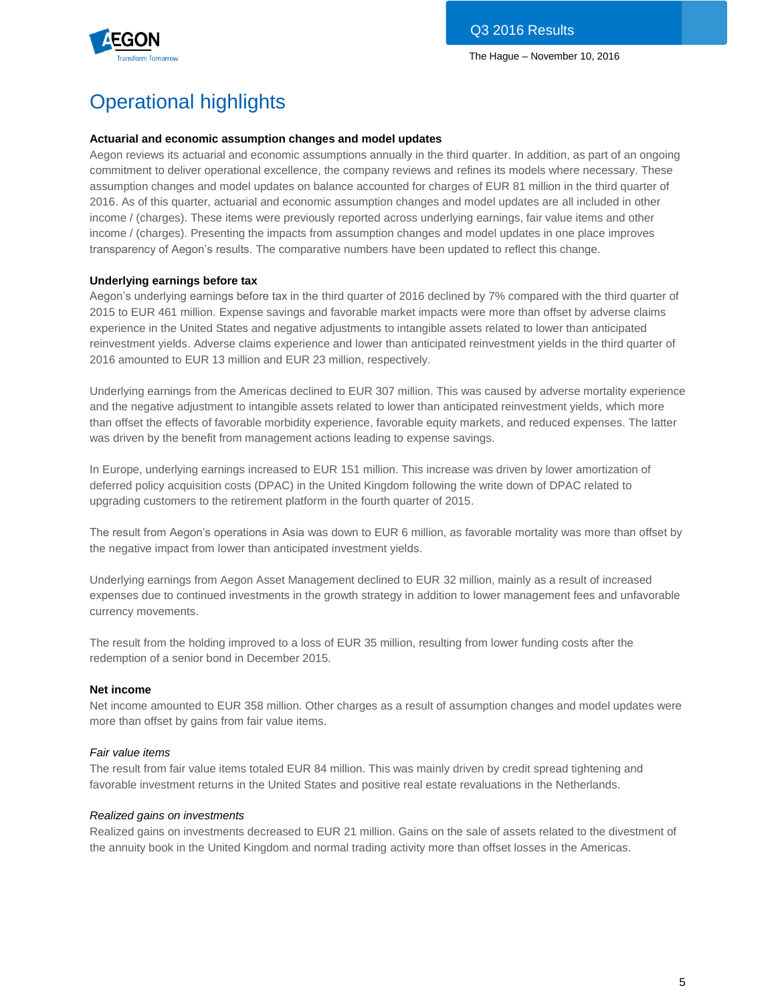

# Operational highlights

#### **Actuarial and economic assumption changes and model updates**

Aegon reviews its actuarial and economic assumptions annually in the third quarter. In addition, as part of an ongoing commitment to deliver operational excellence, the company reviews and refines its models where necessary. These assumption changes and model updates on balance accounted for charges of EUR 81 million in the third quarter of 2016. As of this quarter, actuarial and economic assumption changes and model updates are all included in other income / (charges). These items were previously reported across underlying earnings, fair value items and other income / (charges). Presenting the impacts from assumption changes and model updates in one place improves transparency of Aegon's results. The comparative numbers have been updated to reflect this change.

#### **Underlying earnings before tax**

Aegon's underlying earnings before tax in the third quarter of 2016 declined by 7% compared with the third quarter of 2015 to EUR 461 million. Expense savings and favorable market impacts were more than offset by adverse claims experience in the United States and negative adjustments to intangible assets related to lower than anticipated reinvestment yields. Adverse claims experience and lower than anticipated reinvestment yields in the third quarter of 2016 amounted to EUR 13 million and EUR 23 million, respectively.

Underlying earnings from the Americas declined to EUR 307 million. This was caused by adverse mortality experience and the negative adjustment to intangible assets related to lower than anticipated reinvestment yields, which more than offset the effects of favorable morbidity experience, favorable equity markets, and reduced expenses. The latter was driven by the benefit from management actions leading to expense savings.

In Europe, underlying earnings increased to EUR 151 million. This increase was driven by lower amortization of deferred policy acquisition costs (DPAC) in the United Kingdom following the write down of DPAC related to upgrading customers to the retirement platform in the fourth quarter of 2015.

The result from Aegon's operations in Asia was down to EUR 6 million, as favorable mortality was more than offset by the negative impact from lower than anticipated investment yields.

Underlying earnings from Aegon Asset Management declined to EUR 32 million, mainly as a result of increased expenses due to continued investments in the growth strategy in addition to lower management fees and unfavorable currency movements.

The result from the holding improved to a loss of EUR 35 million, resulting from lower funding costs after the redemption of a senior bond in December 2015.

#### **Net income**

Net income amounted to EUR 358 million. Other charges as a result of assumption changes and model updates were more than offset by gains from fair value items.

#### *Fair value items*

The result from fair value items totaled EUR 84 million. This was mainly driven by credit spread tightening and favorable investment returns in the United States and positive real estate revaluations in the Netherlands.

#### *Realized gains on investments*

Realized gains on investments decreased to EUR 21 million. Gains on the sale of assets related to the divestment of the annuity book in the United Kingdom and normal trading activity more than offset losses in the Americas.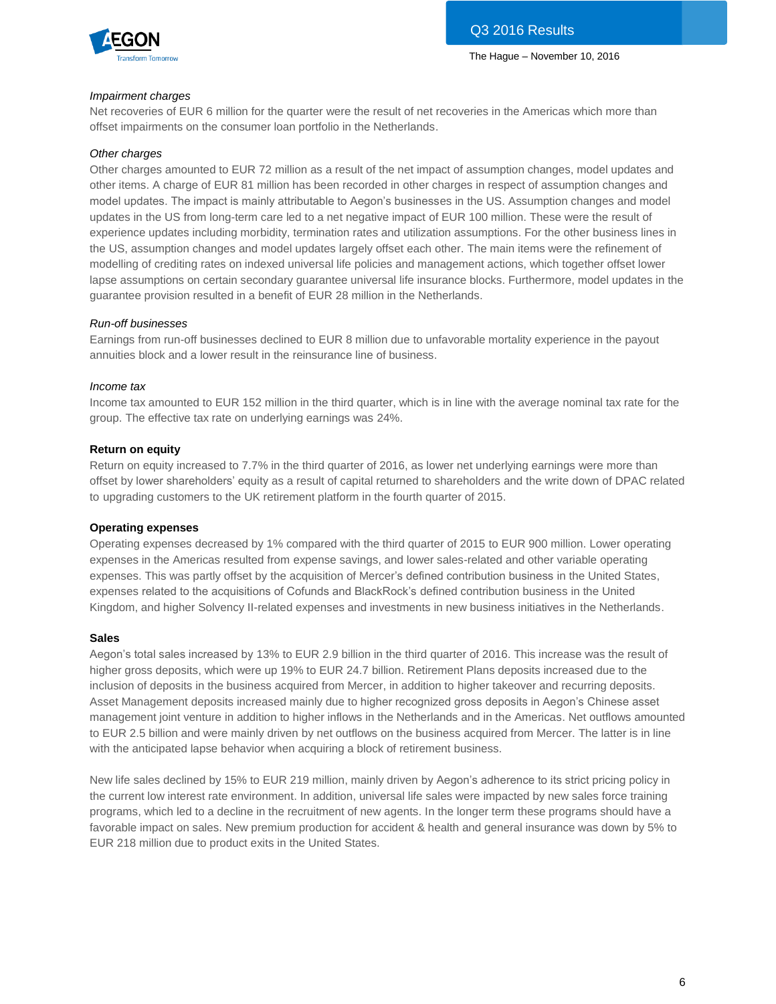

#### *Impairment charges*

Net recoveries of EUR 6 million for the quarter were the result of net recoveries in the Americas which more than offset impairments on the consumer loan portfolio in the Netherlands.

#### *Other charges*

Other charges amounted to EUR 72 million as a result of the net impact of assumption changes, model updates and other items. A charge of EUR 81 million has been recorded in other charges in respect of assumption changes and model updates. The impact is mainly attributable to Aegon's businesses in the US. Assumption changes and model updates in the US from long-term care led to a net negative impact of EUR 100 million. These were the result of experience updates including morbidity, termination rates and utilization assumptions. For the other business lines in the US, assumption changes and model updates largely offset each other. The main items were the refinement of modelling of crediting rates on indexed universal life policies and management actions, which together offset lower lapse assumptions on certain secondary guarantee universal life insurance blocks. Furthermore, model updates in the guarantee provision resulted in a benefit of EUR 28 million in the Netherlands.

#### *Run-off businesses*

Earnings from run-off businesses declined to EUR 8 million due to unfavorable mortality experience in the payout annuities block and a lower result in the reinsurance line of business.

#### *Income tax*

Income tax amounted to EUR 152 million in the third quarter, which is in line with the average nominal tax rate for the group. The effective tax rate on underlying earnings was 24%.

#### **Return on equity**

Return on equity increased to 7.7% in the third quarter of 2016, as lower net underlying earnings were more than offset by lower shareholders' equity as a result of capital returned to shareholders and the write down of DPAC related to upgrading customers to the UK retirement platform in the fourth quarter of 2015.

#### **Operating expenses**

Operating expenses decreased by 1% compared with the third quarter of 2015 to EUR 900 million. Lower operating expenses in the Americas resulted from expense savings, and lower sales-related and other variable operating expenses. This was partly offset by the acquisition of Mercer's defined contribution business in the United States, expenses related to the acquisitions of Cofunds and BlackRock's defined contribution business in the United Kingdom, and higher Solvency II-related expenses and investments in new business initiatives in the Netherlands.

#### **Sales**

Aegon's total sales increased by 13% to EUR 2.9 billion in the third quarter of 2016. This increase was the result of higher gross deposits, which were up 19% to EUR 24.7 billion. Retirement Plans deposits increased due to the inclusion of deposits in the business acquired from Mercer, in addition to higher takeover and recurring deposits. Asset Management deposits increased mainly due to higher recognized gross deposits in Aegon's Chinese asset management joint venture in addition to higher inflows in the Netherlands and in the Americas. Net outflows amounted to EUR 2.5 billion and were mainly driven by net outflows on the business acquired from Mercer. The latter is in line with the anticipated lapse behavior when acquiring a block of retirement business.

New life sales declined by 15% to EUR 219 million, mainly driven by Aegon's adherence to its strict pricing policy in the current low interest rate environment. In addition, universal life sales were impacted by new sales force training programs, which led to a decline in the recruitment of new agents. In the longer term these programs should have a favorable impact on sales. New premium production for accident & health and general insurance was down by 5% to EUR 218 million due to product exits in the United States.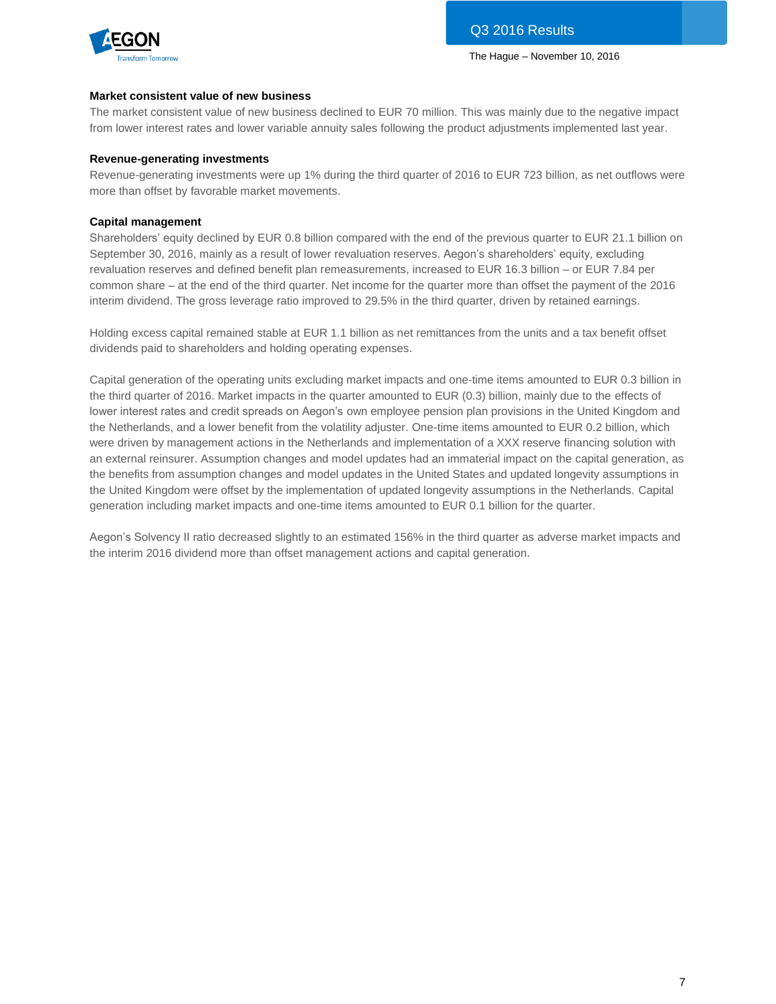

#### **Market consistent value of new business**

The market consistent value of new business declined to EUR 70 million. This was mainly due to the negative impact from lower interest rates and lower variable annuity sales following the product adjustments implemented last year.

#### **Revenue-generating investments**

Revenue-generating investments were up 1% during the third quarter of 2016 to EUR 723 billion, as net outflows were more than offset by favorable market movements.

#### **Capital management**

Shareholders' equity declined by EUR 0.8 billion compared with the end of the previous quarter to EUR 21.1 billion on September 30, 2016, mainly as a result of lower revaluation reserves. Aegon's shareholders' equity, excluding revaluation reserves and defined benefit plan remeasurements, increased to EUR 16.3 billion – or EUR 7.84 per common share – at the end of the third quarter. Net income for the quarter more than offset the payment of the 2016 interim dividend. The gross leverage ratio improved to 29.5% in the third quarter, driven by retained earnings.

Holding excess capital remained stable at EUR 1.1 billion as net remittances from the units and a tax benefit offset dividends paid to shareholders and holding operating expenses.

Capital generation of the operating units excluding market impacts and one-time items amounted to EUR 0.3 billion in the third quarter of 2016. Market impacts in the quarter amounted to EUR (0.3) billion, mainly due to the effects of lower interest rates and credit spreads on Aegon's own employee pension plan provisions in the United Kingdom and the Netherlands, and a lower benefit from the volatility adjuster. One-time items amounted to EUR 0.2 billion, which were driven by management actions in the Netherlands and implementation of a XXX reserve financing solution with an external reinsurer. Assumption changes and model updates had an immaterial impact on the capital generation, as the benefits from assumption changes and model updates in the United States and updated longevity assumptions in the United Kingdom were offset by the implementation of updated longevity assumptions in the Netherlands. Capital generation including market impacts and one-time items amounted to EUR 0.1 billion for the quarter.

Aegon's Solvency II ratio decreased slightly to an estimated 156% in the third quarter as adverse market impacts and the interim 2016 dividend more than offset management actions and capital generation.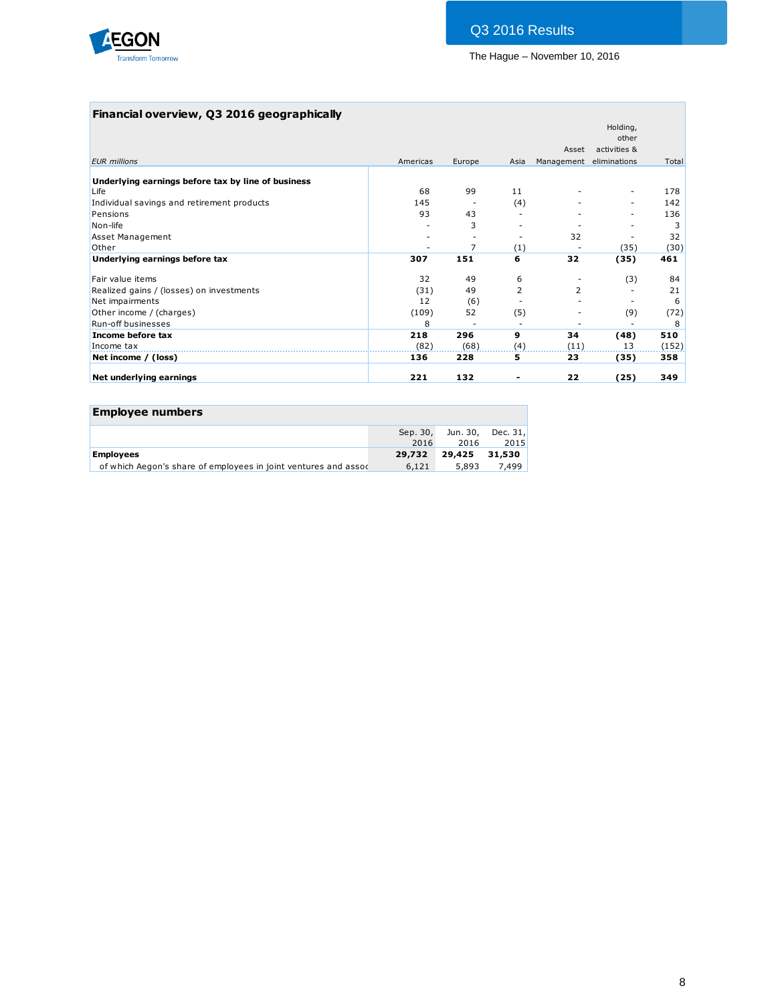

## **Financial overview, Q3 2016 geographically**

|                                                    |          |                |                |                | Holding,<br>other |       |
|----------------------------------------------------|----------|----------------|----------------|----------------|-------------------|-------|
|                                                    |          |                |                | Asset          | activities &      |       |
| <b>EUR</b> millions                                | Americas | Europe         | Asia           | Management     | eliminations      | Total |
|                                                    |          |                |                |                |                   |       |
| Underlying earnings before tax by line of business |          |                |                |                |                   |       |
| Life                                               | 68       | 99             | 11             |                |                   | 178   |
| Individual savings and retirement products         | 145      |                | (4)            |                | Ξ.                | 142   |
| Pensions                                           | 93       | 43             |                |                |                   | 136   |
| Non-life                                           |          | 3              |                |                |                   | 3     |
| <b>Asset Management</b>                            |          |                |                | 32             |                   | 32    |
| Other                                              |          | $\overline{ }$ | (1)            |                | (35)              | (30)  |
| Underlying earnings before tax                     | 307      | 151            | 6              | 32             | (35)              | 461   |
| Fair value items                                   | 32       | 49             | 6              |                | (3)               | 84    |
| Realized gains / (losses) on investments           | (31)     | 49             | $\overline{2}$ | $\overline{2}$ |                   | 21    |
| Net impairments                                    | 12       | (6)            |                |                |                   | 6     |
| Other income / (charges)                           | (109)    | 52             | (5)            |                | (9)               | (72)  |
| <b>Run-off businesses</b>                          | 8        |                |                |                |                   | 8     |
| Income before tax                                  | 218      | 296            | 9              | 34             | (48)              | 510   |
| Income tax                                         | (82)     | (68)           | (4)            | (11)           | 13                | (152) |
| Net income / (loss)                                | 136      | 228            | 5              | 23             | (35)              | 358   |
| Net underlying earnings                            | 221      | 132            |                | 22             | (25)              | 349   |

| <b>Employee numbers</b>                                         |                  |               |                           |
|-----------------------------------------------------------------|------------------|---------------|---------------------------|
|                                                                 | Sep. 30,<br>2016 | 2016          | Jun. 30, Dec. 31,<br>2015 |
| <b>Employees</b>                                                | 29,732           | 29,425 31,530 |                           |
| of which Aegon's share of employees in joint ventures and assoc | 6,121            | 5,893         | 7,499                     |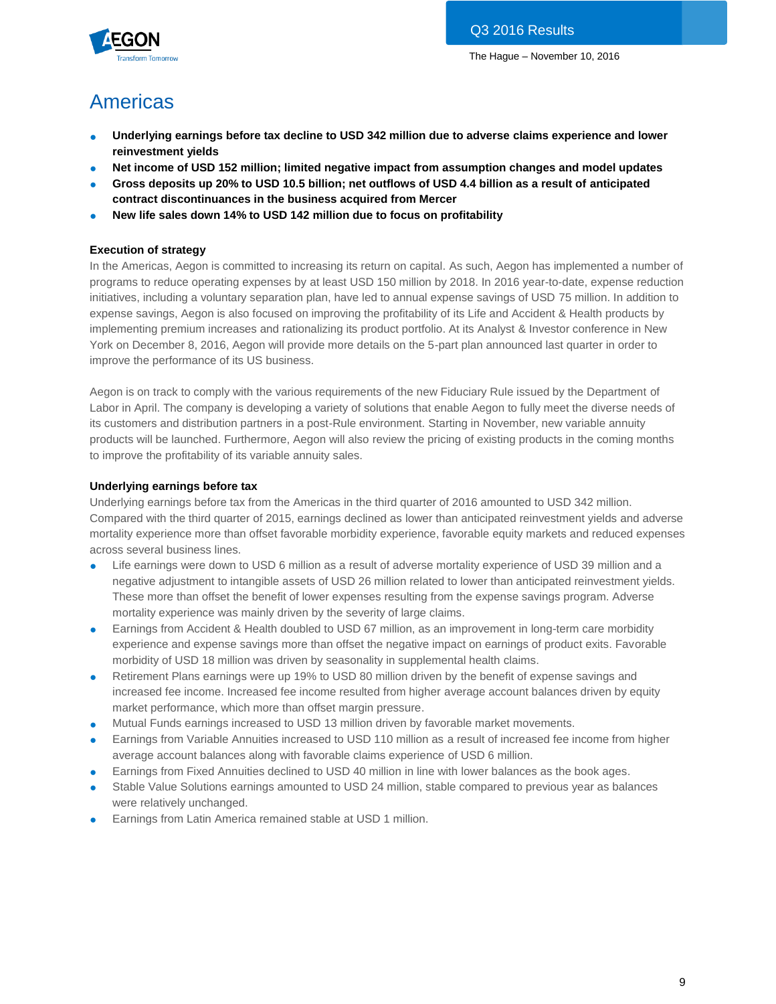

# Americas

- **Underlying earnings before tax decline to USD 342 million due to adverse claims experience and lower reinvestment yields**
- **Net income of USD 152 million; limited negative impact from assumption changes and model updates**
- **Gross deposits up 20% to USD 10.5 billion; net outflows of USD 4.4 billion as a result of anticipated contract discontinuances in the business acquired from Mercer**
- **New life sales down 14% to USD 142 million due to focus on profitability**

#### **Execution of strategy**

In the Americas, Aegon is committed to increasing its return on capital. As such, Aegon has implemented a number of programs to reduce operating expenses by at least USD 150 million by 2018. In 2016 year-to-date, expense reduction initiatives, including a voluntary separation plan, have led to annual expense savings of USD 75 million. In addition to expense savings, Aegon is also focused on improving the profitability of its Life and Accident & Health products by implementing premium increases and rationalizing its product portfolio. At its Analyst & Investor conference in New York on December 8, 2016, Aegon will provide more details on the 5-part plan announced last quarter in order to improve the performance of its US business.

Aegon is on track to comply with the various requirements of the new Fiduciary Rule issued by the Department of Labor in April. The company is developing a variety of solutions that enable Aegon to fully meet the diverse needs of its customers and distribution partners in a post-Rule environment. Starting in November, new variable annuity products will be launched. Furthermore, Aegon will also review the pricing of existing products in the coming months to improve the profitability of its variable annuity sales.

#### **Underlying earnings before tax**

Underlying earnings before tax from the Americas in the third quarter of 2016 amounted to USD 342 million. Compared with the third quarter of 2015, earnings declined as lower than anticipated reinvestment yields and adverse mortality experience more than offset favorable morbidity experience, favorable equity markets and reduced expenses across several business lines.

- Life earnings were down to USD 6 million as a result of adverse mortality experience of USD 39 million and a negative adjustment to intangible assets of USD 26 million related to lower than anticipated reinvestment yields. These more than offset the benefit of lower expenses resulting from the expense savings program. Adverse mortality experience was mainly driven by the severity of large claims.
- Earnings from Accident & Health doubled to USD 67 million, as an improvement in long-term care morbidity experience and expense savings more than offset the negative impact on earnings of product exits. Favorable morbidity of USD 18 million was driven by seasonality in supplemental health claims.
- Retirement Plans earnings were up 19% to USD 80 million driven by the benefit of expense savings and increased fee income. Increased fee income resulted from higher average account balances driven by equity market performance, which more than offset margin pressure.
- Mutual Funds earnings increased to USD 13 million driven by favorable market movements.
- Earnings from Variable Annuities increased to USD 110 million as a result of increased fee income from higher average account balances along with favorable claims experience of USD 6 million.
- Earnings from Fixed Annuities declined to USD 40 million in line with lower balances as the book ages.
- Stable Value Solutions earnings amounted to USD 24 million, stable compared to previous year as balances were relatively unchanged.
- Earnings from Latin America remained stable at USD 1 million.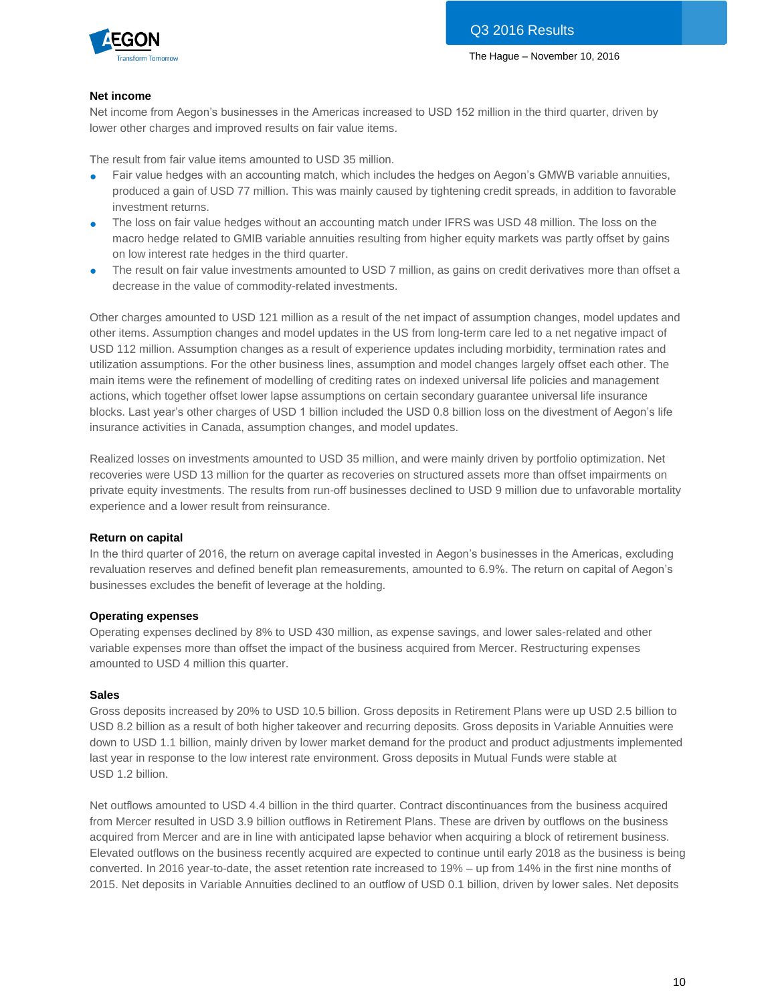

#### **Net income**

Net income from Aegon's businesses in the Americas increased to USD 152 million in the third quarter, driven by lower other charges and improved results on fair value items.

The result from fair value items amounted to USD 35 million.

- Fair value hedges with an accounting match, which includes the hedges on Aegon's GMWB variable annuities, produced a gain of USD 77 million. This was mainly caused by tightening credit spreads, in addition to favorable investment returns.
- The loss on fair value hedges without an accounting match under IFRS was USD 48 million. The loss on the macro hedge related to GMIB variable annuities resulting from higher equity markets was partly offset by gains on low interest rate hedges in the third quarter.
- The result on fair value investments amounted to USD 7 million, as gains on credit derivatives more than offset a decrease in the value of commodity-related investments.

Other charges amounted to USD 121 million as a result of the net impact of assumption changes, model updates and other items. Assumption changes and model updates in the US from long-term care led to a net negative impact of USD 112 million. Assumption changes as a result of experience updates including morbidity, termination rates and utilization assumptions. For the other business lines, assumption and model changes largely offset each other. The main items were the refinement of modelling of crediting rates on indexed universal life policies and management actions, which together offset lower lapse assumptions on certain secondary guarantee universal life insurance blocks. Last year's other charges of USD 1 billion included the USD 0.8 billion loss on the divestment of Aegon's life insurance activities in Canada, assumption changes, and model updates.

Realized losses on investments amounted to USD 35 million, and were mainly driven by portfolio optimization. Net recoveries were USD 13 million for the quarter as recoveries on structured assets more than offset impairments on private equity investments. The results from run-off businesses declined to USD 9 million due to unfavorable mortality experience and a lower result from reinsurance.

#### **Return on capital**

In the third quarter of 2016, the return on average capital invested in Aegon's businesses in the Americas, excluding revaluation reserves and defined benefit plan remeasurements, amounted to 6.9%. The return on capital of Aegon's businesses excludes the benefit of leverage at the holding.

#### **Operating expenses**

Operating expenses declined by 8% to USD 430 million, as expense savings, and lower sales-related and other variable expenses more than offset the impact of the business acquired from Mercer. Restructuring expenses amounted to USD 4 million this quarter.

#### **Sales**

Gross deposits increased by 20% to USD 10.5 billion. Gross deposits in Retirement Plans were up USD 2.5 billion to USD 8.2 billion as a result of both higher takeover and recurring deposits. Gross deposits in Variable Annuities were down to USD 1.1 billion, mainly driven by lower market demand for the product and product adjustments implemented last year in response to the low interest rate environment. Gross deposits in Mutual Funds were stable at USD 1.2 billion.

Net outflows amounted to USD 4.4 billion in the third quarter. Contract discontinuances from the business acquired from Mercer resulted in USD 3.9 billion outflows in Retirement Plans. These are driven by outflows on the business acquired from Mercer and are in line with anticipated lapse behavior when acquiring a block of retirement business. Elevated outflows on the business recently acquired are expected to continue until early 2018 as the business is being converted. In 2016 year-to-date, the asset retention rate increased to 19% – up from 14% in the first nine months of 2015. Net deposits in Variable Annuities declined to an outflow of USD 0.1 billion, driven by lower sales. Net deposits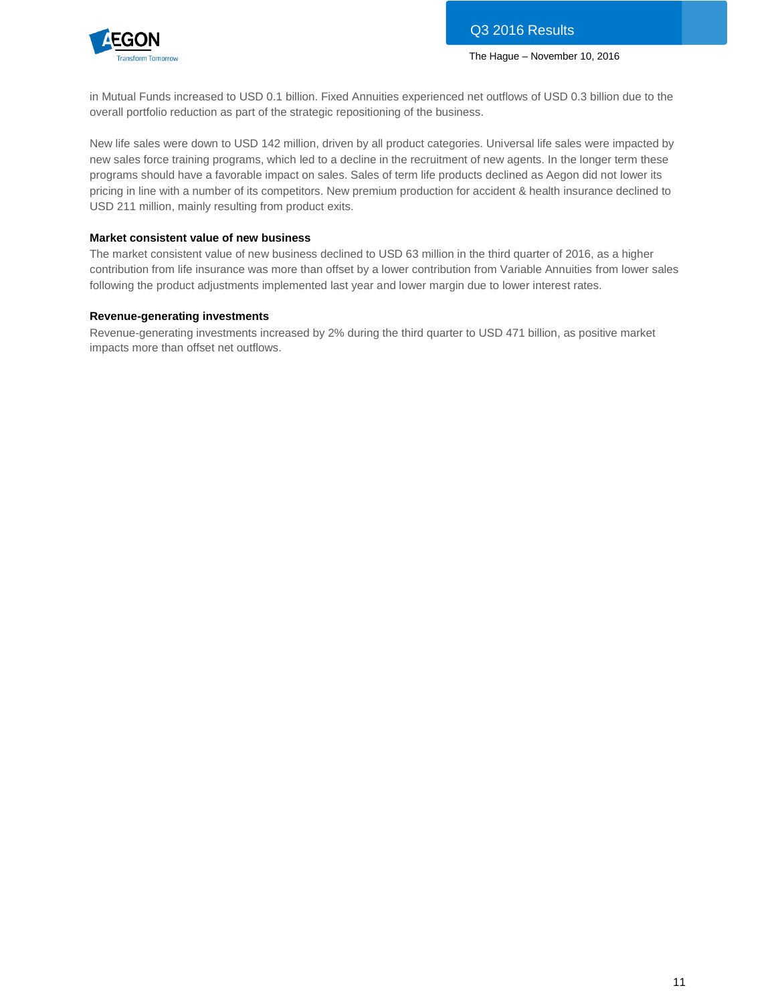

in Mutual Funds increased to USD 0.1 billion. Fixed Annuities experienced net outflows of USD 0.3 billion due to the overall portfolio reduction as part of the strategic repositioning of the business.

New life sales were down to USD 142 million, driven by all product categories. Universal life sales were impacted by new sales force training programs, which led to a decline in the recruitment of new agents. In the longer term these programs should have a favorable impact on sales. Sales of term life products declined as Aegon did not lower its pricing in line with a number of its competitors. New premium production for accident & health insurance declined to USD 211 million, mainly resulting from product exits.

#### **Market consistent value of new business**

The market consistent value of new business declined to USD 63 million in the third quarter of 2016, as a higher contribution from life insurance was more than offset by a lower contribution from Variable Annuities from lower sales following the product adjustments implemented last year and lower margin due to lower interest rates.

#### **Revenue-generating investments**

Revenue-generating investments increased by 2% during the third quarter to USD 471 billion, as positive market impacts more than offset net outflows.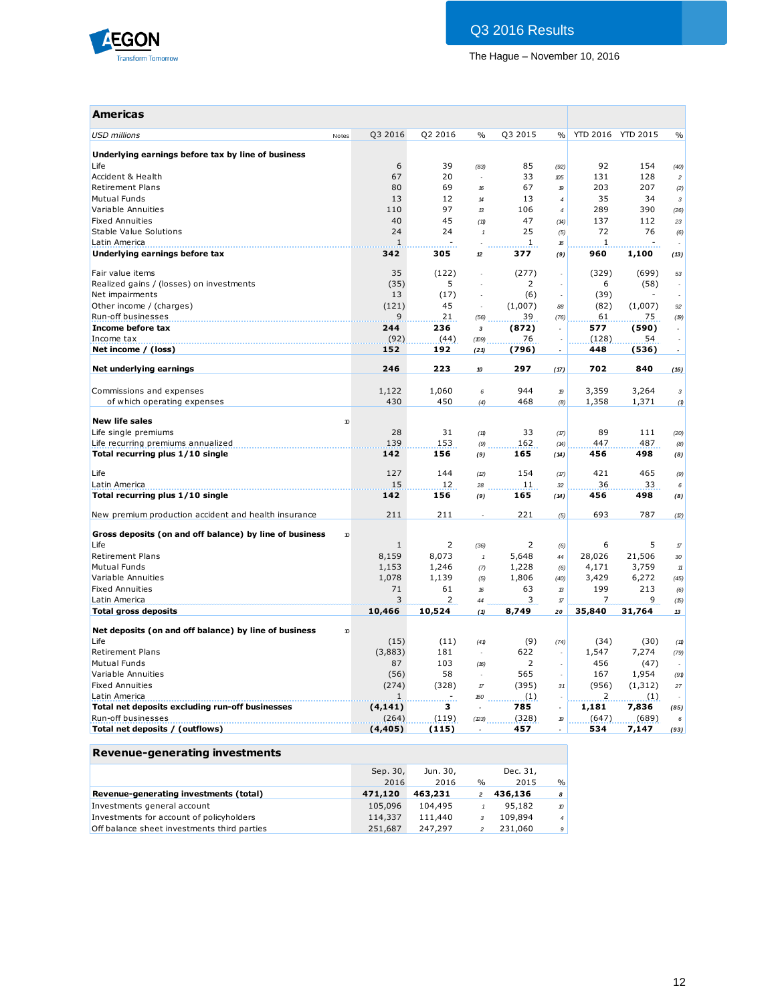

| <b>Americas</b>                                         |                  |                |                                   |                |                          |              |                   |                    |
|---------------------------------------------------------|------------------|----------------|-----------------------------------|----------------|--------------------------|--------------|-------------------|--------------------|
| <b>USD millions</b><br>Notes                            | Q3 2016          | Q2 2016        | $\frac{0}{0}$                     | Q3 2015        | %                        |              | YTD 2016 YTD 2015 | $\frac{0}{0}$      |
| Underlying earnings before tax by line of business      |                  |                |                                   |                |                          |              |                   |                    |
| Life                                                    | 6                | 39             | (83)                              | 85             | (92)                     | 92           | 154               | (40)               |
| Accident & Health                                       | 67               | 20             |                                   | 33             | x <sub>05</sub>          | 131          | 128               | $\boldsymbol{2}$   |
| <b>Retirement Plans</b>                                 | 80               | 69             | 16                                | 67             | 19                       | 203          | 207               | (2)                |
| <b>Mutual Funds</b>                                     | 13               | 12             | 14                                | 13             | $\overline{4}$           | 35           | 34                | $\mathbf{3}$       |
| Variable Annuities                                      | 110              | 97             | 13                                | 106            | $\overline{4}$           | 289          | 390               | (26)               |
| <b>Fixed Annuities</b>                                  | 40               | 45             | (11)                              | 47             | (14)                     | 137          | 112               | 23                 |
| Stable Value Solutions                                  | 24               | 24             | $\mathbf{1}$                      | 25             | (5)                      | 72           | 76                | (6)                |
| Latin America                                           | $\mathbf 1$      |                |                                   | 1              | 16                       | 1            |                   |                    |
| Underlying earnings before tax                          | 342              | 305            | 12                                | 377            | (9)                      | 960          | 1,100             | (13)               |
| Fair value items                                        | 35               | (122)          |                                   | (277)          | ÷,                       | (329)        | (699)             | 53                 |
| Realized gains / (losses) on investments                | (35)             | 5              | ÷.                                | 2              | $\overline{a}$           | 6            | (58)              | $\sim$             |
| Net impairments                                         | 13               | (17)           |                                   | (6)            |                          | (39)         |                   |                    |
| Other income / (charges)                                | (121)            | 45             | ÷,                                | (1,007)        | 88                       | (82)         | (1,007)           | 92                 |
| Run-off businesses                                      | 9                | 21             | (56)                              | 39             | (76)                     | 61           | 75                | (19)               |
| Income before tax                                       | 244              | 236            | $\boldsymbol{\mathsf{3}}$         | (872)          |                          | 577          | (590)             |                    |
| Income tax                                              | (92)             | (44)           | (109)                             | 76             |                          | (128)        | 54                |                    |
| Net income / (loss)                                     | 152              | 192            | (21)                              | (796)          | $\overline{a}$           | 448          | (536)             |                    |
| Net underlying earnings                                 | 246              | 223            | 10                                | 297            | (17)                     | 702          | 840               | (16)               |
|                                                         |                  |                |                                   |                |                          |              |                   |                    |
| Commissions and expenses                                | 1,122            | 1,060          | 6                                 | 944            | 19                       | 3,359        | 3,264             | $\sqrt{3}$         |
| of which operating expenses                             | 430              | 450            | (4)                               | 468            | (8)                      | 1,358        | 1,371             | (1)                |
|                                                         |                  |                |                                   |                |                          |              |                   |                    |
| <b>New life sales</b>                                   | 10               |                |                                   |                |                          |              |                   |                    |
| Life single premiums                                    | 28               | 31             | (11)                              | 33             | (17)                     | 89           | 111               | (20)               |
| Life recurring premiums annualized                      | 139              | 153            | (9)                               | 162            | (14)                     | 447          | 487               | (8)                |
| Total recurring plus 1/10 single                        | 142              | 156            | (9)                               | 165            | (14)                     | 456          | 498               | (8)                |
| Life                                                    | 127              | 144            | (2)                               | 154            | (17)                     | 421          | 465               | (9)                |
| Latin America                                           | 15               | 12             | 28                                | 11             | 32                       | 36           | 33                | 6                  |
| Total recurring plus 1/10 single                        | 142              | 156            | (9)                               | 165            | (14)                     | 456          | 498               | (8)                |
| New premium production accident and health insurance    | 211              | 211            |                                   | 221            | (5)                      | 693          | 787               | (2)                |
|                                                         |                  |                |                                   |                |                          |              |                   |                    |
| Gross deposits (on and off balance) by line of business | 10               | 2              |                                   | 2              |                          |              | 5                 |                    |
| Life<br><b>Retirement Plans</b>                         | 1                |                | (36)                              |                | (6)                      | 6            |                   | $\boldsymbol{\pi}$ |
| <b>Mutual Funds</b>                                     | 8,159            | 8,073<br>1,246 | $\mathbf{1}$                      | 5,648          | 44                       | 28,026       | 21,506<br>3,759   | 30                 |
| Variable Annuities                                      | 1,153            |                | (7)                               | 1,228          | (6)                      | 4,171        |                   | 11                 |
| <b>Fixed Annuities</b>                                  | 1,078<br>71      | 1,139          | (5)                               | 1,806          | (40)                     | 3,429<br>199 | 6,272<br>213      | (45)               |
| Latin America                                           | 3                | 61<br>2        | 16                                | 63<br>3        | 13                       | 7            | 9                 | (6)                |
| <b>Total gross deposits</b>                             | 10,466           | 10,524         | 44                                | 8,749          | $\pi$<br>20              | 35,840       | 31,764            | (15)<br>13         |
|                                                         |                  |                | (1)                               |                |                          |              |                   |                    |
| Net deposits (on and off balance) by line of business   | 10 <sup>10</sup> |                |                                   |                |                          |              |                   |                    |
| Life                                                    | (15)             | (11)           | (41)                              | (9)            | (74)                     | (34)         | (30)              | (11)               |
| <b>Retirement Plans</b>                                 | (3,883)          | 181            | $\sim$                            | 622            | ÷,                       | 1,547        | 7,274             | (79)               |
| <b>Mutual Funds</b>                                     | 87               | 103            | (16)                              | $\overline{2}$ |                          | 456          | (47)              |                    |
| Variable Annuities                                      | (56)             | 58             | ÷,                                | 565            | ÷,                       | 167          | 1,954             | (91)               |
| <b>Fixed Annuities</b>                                  | (274)            | (328)          | $\ensuremath{\mathcal{T}}\xspace$ | (395)          | 31                       | (956)        | (1,312)           | 27                 |
| Latin America                                           | $\mathbf{1}$     | ÷.             | 160                               | (1)            |                          | 2            | (1)               |                    |
| Total net deposits excluding run-off businesses         | (4, 141)         | 3              |                                   | 785            | $\overline{\phantom{a}}$ | 1,181        | 7,836             | (85)               |
| Run-off businesses                                      | (264)            | (119)          | (23)                              | (328)          | 19                       | (647)        | (689)             | 6                  |
| Total net deposits / (outflows)                         | (4, 405)         | (115)          |                                   | 457            |                          | 534          | 7,147             | (93)               |

## **Revenue-generating investments**

|                                             | Sep. 30, | Jun. 30, |   | Dec. 31, |                |
|---------------------------------------------|----------|----------|---|----------|----------------|
|                                             | 2016     | 2016     | % | 2015     | $\frac{0}{0}$  |
| Revenue-generating investments (total)      | 471.120  | 463,231  |   | 436,136  | 8              |
| Investments general account                 | 105,096  | 104,495  |   | 95,182   | 10             |
| Investments for account of policyholders    | 114,337  | 111,440  |   | 109,894  | $\overline{4}$ |
| Off balance sheet investments third parties | 251,687  | 247,297  |   | 231,060  | 9              |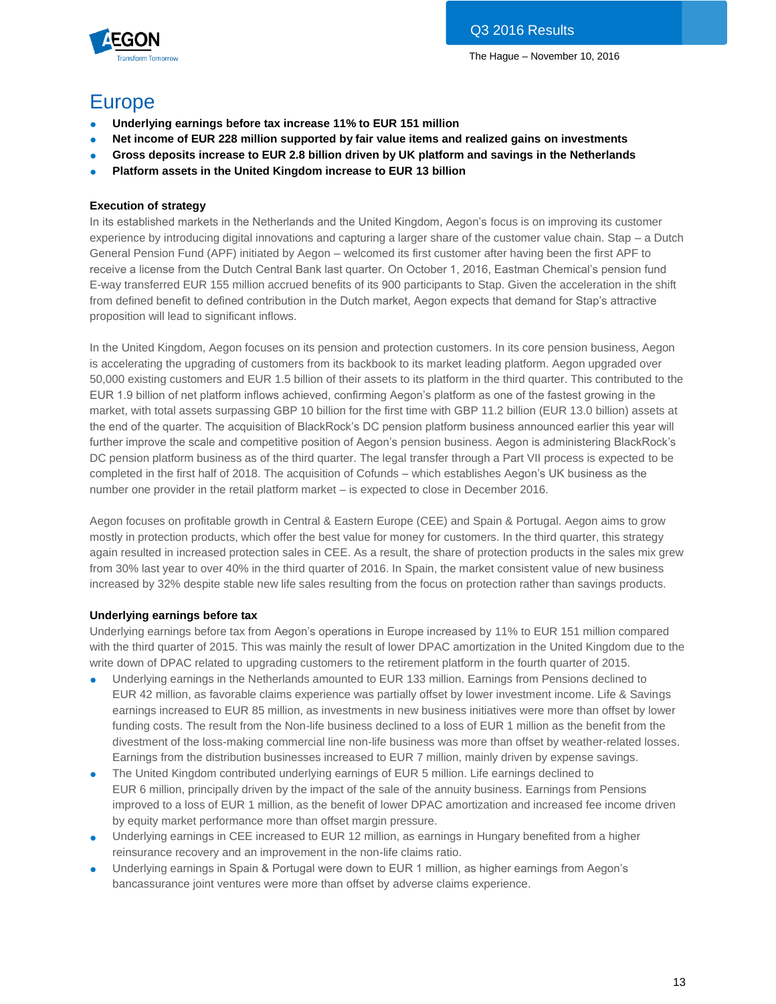

## **Europe**

- **Underlying earnings before tax increase 11% to EUR 151 million**
- **Net income of EUR 228 million supported by fair value items and realized gains on investments**
- Gross deposits increase to EUR 2.8 billion driven by UK platform and savings in the Netherlands
- **Platform assets in the United Kingdom increase to EUR 13 billion**

#### **Execution of strategy**

In its established markets in the Netherlands and the United Kingdom, Aegon's focus is on improving its customer experience by introducing digital innovations and capturing a larger share of the customer value chain. Stap – a Dutch General Pension Fund (APF) initiated by Aegon – welcomed its first customer after having been the first APF to receive a license from the Dutch Central Bank last quarter. On October 1, 2016, Eastman Chemical's pension fund E-way transferred EUR 155 million accrued benefits of its 900 participants to Stap. Given the acceleration in the shift from defined benefit to defined contribution in the Dutch market, Aegon expects that demand for Stap's attractive proposition will lead to significant inflows.

In the United Kingdom, Aegon focuses on its pension and protection customers. In its core pension business, Aegon is accelerating the upgrading of customers from its backbook to its market leading platform. Aegon upgraded over 50,000 existing customers and EUR 1.5 billion of their assets to its platform in the third quarter. This contributed to the EUR 1.9 billion of net platform inflows achieved, confirming Aegon's platform as one of the fastest growing in the market, with total assets surpassing GBP 10 billion for the first time with GBP 11.2 billion (EUR 13.0 billion) assets at the end of the quarter. The acquisition of BlackRock's DC pension platform business announced earlier this year will further improve the scale and competitive position of Aegon's pension business. Aegon is administering BlackRock's DC pension platform business as of the third quarter. The legal transfer through a Part VII process is expected to be completed in the first half of 2018. The acquisition of Cofunds – which establishes Aegon's UK business as the number one provider in the retail platform market – is expected to close in December 2016.

Aegon focuses on profitable growth in Central & Eastern Europe (CEE) and Spain & Portugal. Aegon aims to grow mostly in protection products, which offer the best value for money for customers. In the third quarter, this strategy again resulted in increased protection sales in CEE. As a result, the share of protection products in the sales mix grew from 30% last year to over 40% in the third quarter of 2016. In Spain, the market consistent value of new business increased by 32% despite stable new life sales resulting from the focus on protection rather than savings products.

#### **Underlying earnings before tax**

Underlying earnings before tax from Aegon's operations in Europe increased by 11% to EUR 151 million compared with the third quarter of 2015. This was mainly the result of lower DPAC amortization in the United Kingdom due to the write down of DPAC related to upgrading customers to the retirement platform in the fourth quarter of 2015.

- Underlying earnings in the Netherlands amounted to EUR 133 million. Earnings from Pensions declined to EUR 42 million, as favorable claims experience was partially offset by lower investment income. Life & Savings earnings increased to EUR 85 million, as investments in new business initiatives were more than offset by lower funding costs. The result from the Non-life business declined to a loss of EUR 1 million as the benefit from the divestment of the loss-making commercial line non-life business was more than offset by weather-related losses. Earnings from the distribution businesses increased to EUR 7 million, mainly driven by expense savings.
- The United Kingdom contributed underlying earnings of EUR 5 million. Life earnings declined to EUR 6 million, principally driven by the impact of the sale of the annuity business. Earnings from Pensions improved to a loss of EUR 1 million, as the benefit of lower DPAC amortization and increased fee income driven by equity market performance more than offset margin pressure.
- Underlying earnings in CEE increased to EUR 12 million, as earnings in Hungary benefited from a higher reinsurance recovery and an improvement in the non-life claims ratio.
- Underlying earnings in Spain & Portugal were down to EUR 1 million, as higher earnings from Aegon's bancassurance joint ventures were more than offset by adverse claims experience.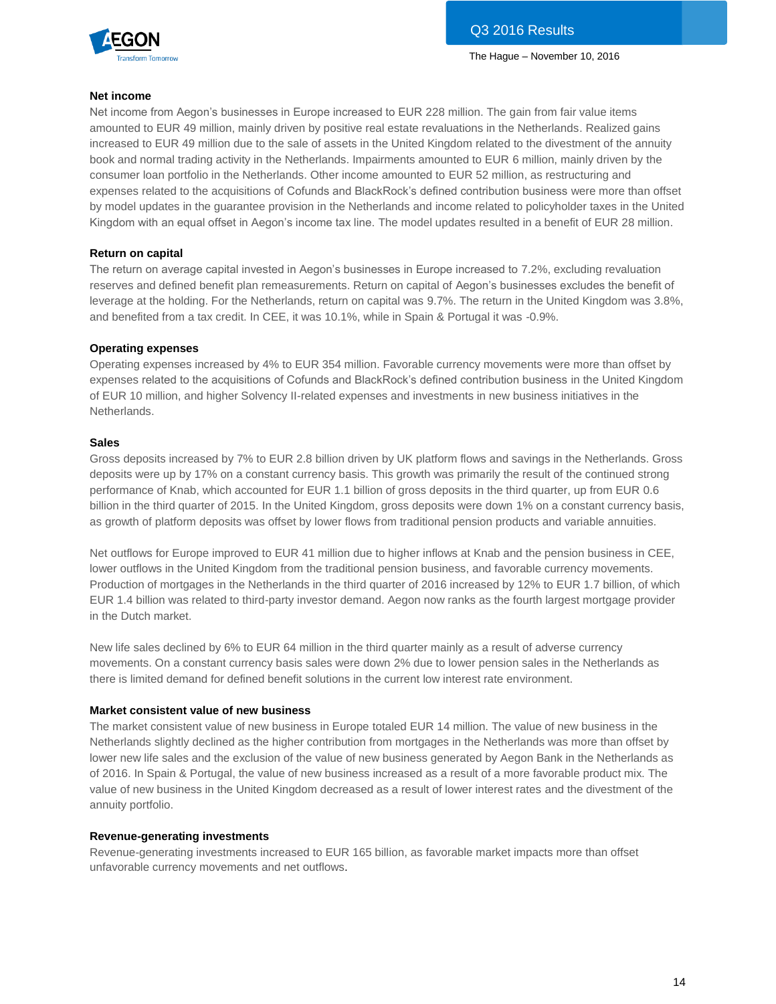

#### **Net income**

Net income from Aegon's businesses in Europe increased to EUR 228 million. The gain from fair value items amounted to EUR 49 million, mainly driven by positive real estate revaluations in the Netherlands. Realized gains increased to EUR 49 million due to the sale of assets in the United Kingdom related to the divestment of the annuity book and normal trading activity in the Netherlands. Impairments amounted to EUR 6 million, mainly driven by the consumer loan portfolio in the Netherlands. Other income amounted to EUR 52 million, as restructuring and expenses related to the acquisitions of Cofunds and BlackRock's defined contribution business were more than offset by model updates in the guarantee provision in the Netherlands and income related to policyholder taxes in the United Kingdom with an equal offset in Aegon's income tax line. The model updates resulted in a benefit of EUR 28 million.

#### **Return on capital**

The return on average capital invested in Aegon's businesses in Europe increased to 7.2%, excluding revaluation reserves and defined benefit plan remeasurements. Return on capital of Aegon's businesses excludes the benefit of leverage at the holding. For the Netherlands, return on capital was 9.7%. The return in the United Kingdom was 3.8%, and benefited from a tax credit. In CEE, it was 10.1%, while in Spain & Portugal it was -0.9%.

#### **Operating expenses**

Operating expenses increased by 4% to EUR 354 million. Favorable currency movements were more than offset by expenses related to the acquisitions of Cofunds and BlackRock's defined contribution business in the United Kingdom of EUR 10 million, and higher Solvency II-related expenses and investments in new business initiatives in the Netherlands.

#### **Sales**

Gross deposits increased by 7% to EUR 2.8 billion driven by UK platform flows and savings in the Netherlands. Gross deposits were up by 17% on a constant currency basis. This growth was primarily the result of the continued strong performance of Knab, which accounted for EUR 1.1 billion of gross deposits in the third quarter, up from EUR 0.6 billion in the third quarter of 2015. In the United Kingdom, gross deposits were down 1% on a constant currency basis, as growth of platform deposits was offset by lower flows from traditional pension products and variable annuities.

Net outflows for Europe improved to EUR 41 million due to higher inflows at Knab and the pension business in CEE, lower outflows in the United Kingdom from the traditional pension business, and favorable currency movements. Production of mortgages in the Netherlands in the third quarter of 2016 increased by 12% to EUR 1.7 billion, of which EUR 1.4 billion was related to third-party investor demand. Aegon now ranks as the fourth largest mortgage provider in the Dutch market.

New life sales declined by 6% to EUR 64 million in the third quarter mainly as a result of adverse currency movements. On a constant currency basis sales were down 2% due to lower pension sales in the Netherlands as there is limited demand for defined benefit solutions in the current low interest rate environment.

#### **Market consistent value of new business**

The market consistent value of new business in Europe totaled EUR 14 million. The value of new business in the Netherlands slightly declined as the higher contribution from mortgages in the Netherlands was more than offset by lower new life sales and the exclusion of the value of new business generated by Aegon Bank in the Netherlands as of 2016. In Spain & Portugal, the value of new business increased as a result of a more favorable product mix. The value of new business in the United Kingdom decreased as a result of lower interest rates and the divestment of the annuity portfolio.

#### **Revenue-generating investments**

Revenue-generating investments increased to EUR 165 billion, as favorable market impacts more than offset unfavorable currency movements and net outflows.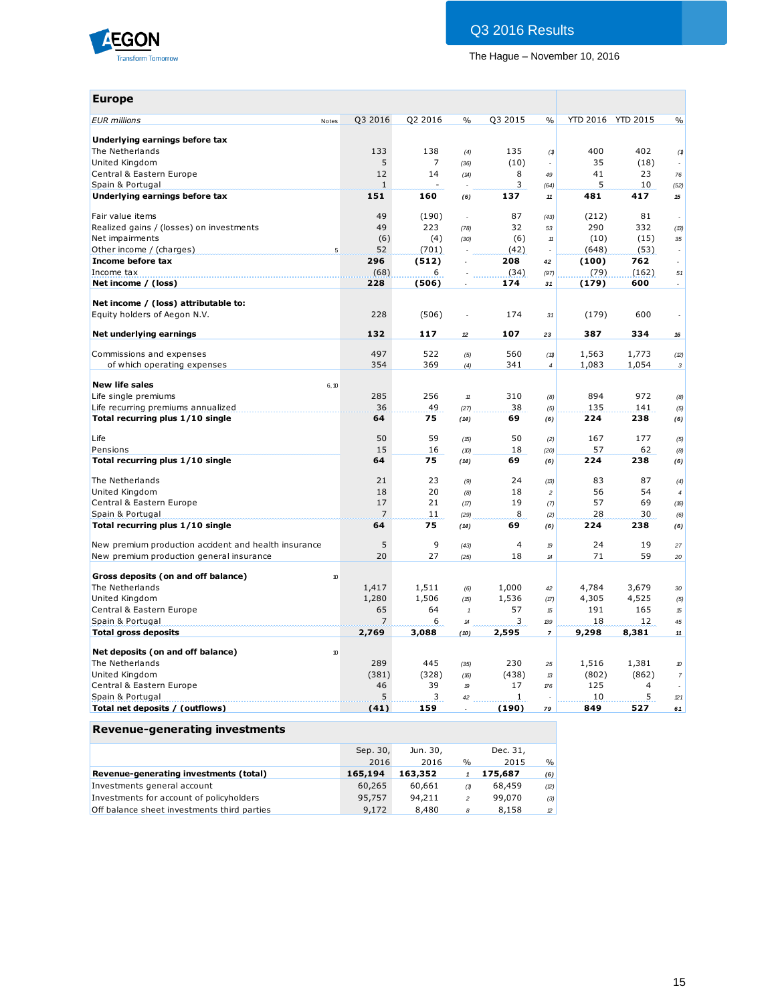

## Q3 2016 Results

The Hague – November 10, 2016

| <b>Europe</b>                                            |                |         |                            |                |                            |       |                   |                             |
|----------------------------------------------------------|----------------|---------|----------------------------|----------------|----------------------------|-------|-------------------|-----------------------------|
| <b>EUR</b> millions<br>Notes                             | Q3 2016        | Q2 2016 | $\frac{0}{0}$              | Q3 2015        | $\frac{0}{0}$              |       | YTD 2016 YTD 2015 | $\frac{0}{0}$               |
| Underlying earnings before tax                           |                |         |                            |                |                            |       |                   |                             |
| The Netherlands                                          | 133            | 138     | (4)                        | 135            | (1)                        | 400   | 402               | (1)                         |
| United Kingdom                                           | 5              | 7       | (36)                       | (10)           | $\overline{\phantom{a}}$   | 35    | (18)              |                             |
| Central & Eastern Europe                                 | 12             | 14      | (14)                       | 8              | 49                         | 41    | 23                | 76                          |
| Spain & Portugal                                         | $\mathbf{1}$   |         |                            | 3              | (64)                       | 5     | 10                | (52)                        |
| Underlying earnings before tax                           | 151            | 160     | (6)                        | 137            | $11\,$                     | 481   | 417               | $\bf 15$                    |
| Fair value items                                         | 49             | (190)   | $\Box$                     | 87             | (43)                       | (212) | 81                |                             |
| Realized gains / (losses) on investments                 | 49             | 223     | (78)                       | 32             | 53                         | 290   | 332               | (13)                        |
| Net impairments                                          | (6)            | (4)     | (30)                       | (6)            | $11$                       | (10)  | (15)              | 35                          |
|                                                          | 52             | (701)   |                            | (42)           | $\sim$                     | (648) | (53)              | ÷.                          |
| Income before tax                                        | 296            | (512)   |                            | 208            | 42                         | (100) | 762               | $\overline{a}$              |
| Income tax                                               | (68)           | 6       |                            | (34)           | (97)                       | (79)  | (162)             | 51                          |
| Net income / (loss)                                      | 228            | (506)   |                            | 174            | 31                         | (179) | 600               | $\overline{\phantom{a}}$    |
| Net income / (loss) attributable to:                     |                |         |                            |                |                            |       |                   |                             |
| Equity holders of Aegon N.V.                             | 228            | (506)   | $\epsilon$                 | 174            | .31                        | (179) | 600               |                             |
| Net underlying earnings                                  | 132            | 117     | 12                         | 107            | 23                         | 387   | 334               | 16                          |
| Commissions and expenses                                 | 497            | 522     | (5)                        | 560            | (11)                       | 1,563 | 1,773             | (2)                         |
| of which operating expenses                              | 354            | 369     | (4)                        | 341            | $\overline{4}$             | 1,083 | 1,054             | $\mathbf{3}$                |
|                                                          |                |         |                            |                |                            |       |                   |                             |
| <b>New life sales</b><br>6, 10                           |                |         |                            |                |                            |       |                   |                             |
| Life single premiums                                     | 285            | 256     | $11\,$                     | 310            | (8)                        | 894   | 972               | (8)                         |
| Life recurring premiums annualized                       | 36             | 49      | (27)                       | 38             | (5)                        | 135   | 141               | (5)                         |
| Total recurring plus 1/10 single                         | 64             | 75      | (14)                       | 69             | (6)                        | 224   | 238               | (6)                         |
| Life                                                     | 50             | 59      | (15)                       | 50             | (2)                        | 167   | 177               | (5)                         |
| Pensions                                                 | 15             | 16      | (10)                       | 18             | (20)                       | 57    | 62                | (8)                         |
| Total recurring plus 1/10 single                         | 64             | 75      | (14)                       | 69             | (6)                        | 224   | 238               | (6)                         |
| The Netherlands                                          | 21             | 23      | (9)                        | 24             | (B)                        | 83    | 87                | (4)                         |
| United Kingdom                                           | 18             | 20      | (8)                        | 18             | $\overline{c}$             | 56    | 54                | $\overline{4}$              |
| Central & Eastern Europe                                 | 17             | 21      | (17)                       | 19             | (7)                        | 57    | 69                | (16)                        |
| Spain & Portugal                                         | $\overline{7}$ | 11      | (29)                       | 8              | (2)                        | 28    | 30                | (6)                         |
| Total recurring plus 1/10 single                         | 64             | 75      | (14)                       | 69             | (6)                        | 224   | 238               | (6)                         |
| New premium production accident and health insurance     | 5              | 9       | (43)                       | $\overline{4}$ | $\boldsymbol{p}$           | 24    | 19                | 27                          |
| New premium production general insurance                 | 20             | 27      | (25)                       | 18             | $\boldsymbol{\mathcal{H}}$ | 71    | 59                | 20                          |
| Gross deposits (on and off balance)<br>10                |                |         |                            |                |                            |       |                   |                             |
| The Netherlands                                          | 1,417          | 1,511   | (6)                        | 1,000          | 42                         | 4,784 | 3,679             | 30                          |
| United Kingdom                                           | 1,280          | 1,506   | (15)                       | 1,536          | (17)                       | 4,305 | 4,525             | (5)                         |
| Central & Eastern Europe                                 | 65             | 64      | $\mathbf{1}$               | 57             | 15                         | 191   | 165               | 15                          |
| Spain & Portugal                                         | 7              | 6       | $\boldsymbol{\mathcal{H}}$ | 3              | 139                        | 18    | 12                | 45                          |
| <b>Total gross deposits</b>                              | 2,769          | 3,088   | (10)                       | 2,595          | $\overline{7}$             | 9,298 | 8,381             | $\boldsymbol{\mathcal{11}}$ |
|                                                          |                |         |                            |                |                            |       |                   |                             |
| Net deposits (on and off balance)<br>$\boldsymbol{\eta}$ |                |         |                            |                |                            |       |                   |                             |
| The Netherlands                                          | 289            | 445     | (35)                       | 230            | 25                         | 1,516 | 1,381             | 10                          |
| United Kingdom                                           | (381)          | (328)   | (16)                       | (438)          | 13                         | (802) | (862)             | $\overline{7}$              |
| Central & Eastern Europe                                 | 46             | 39      | 19                         | 17             | 176                        | 125   | 4                 |                             |
| Spain & Portugal                                         | 5              | 3       | 42                         | $\mathbf{1}$   | $\sim$                     | 10    | 5                 | 121                         |
| Total net deposits / (outflows)                          | (41)           | 159     |                            | (190)          | 79                         | 849   | 527               | 61                          |
| Revenue-generating investments                           |                |         |                            |                |                            |       |                   |                             |

|                                             | Sep. 30, | Jun. 30, |                | Dec. 31, |               |
|---------------------------------------------|----------|----------|----------------|----------|---------------|
|                                             | 2016     | 2016     | $\%$           | 2015     | $\frac{9}{6}$ |
| Revenue-generating investments (total)      | 165,194  | 163,352  |                | 175,687  | (6)           |
| Investments general account                 | 60,265   | 60,661   | (1)            | 68,459   | (2)           |
| Investments for account of policyholders    | 95,757   | 94,211   | $\overline{c}$ | 99,070   | (3)           |
| Off balance sheet investments third parties | 9,172    | 8,480    | 8              | 8,158    | $\mathbb{Z}$  |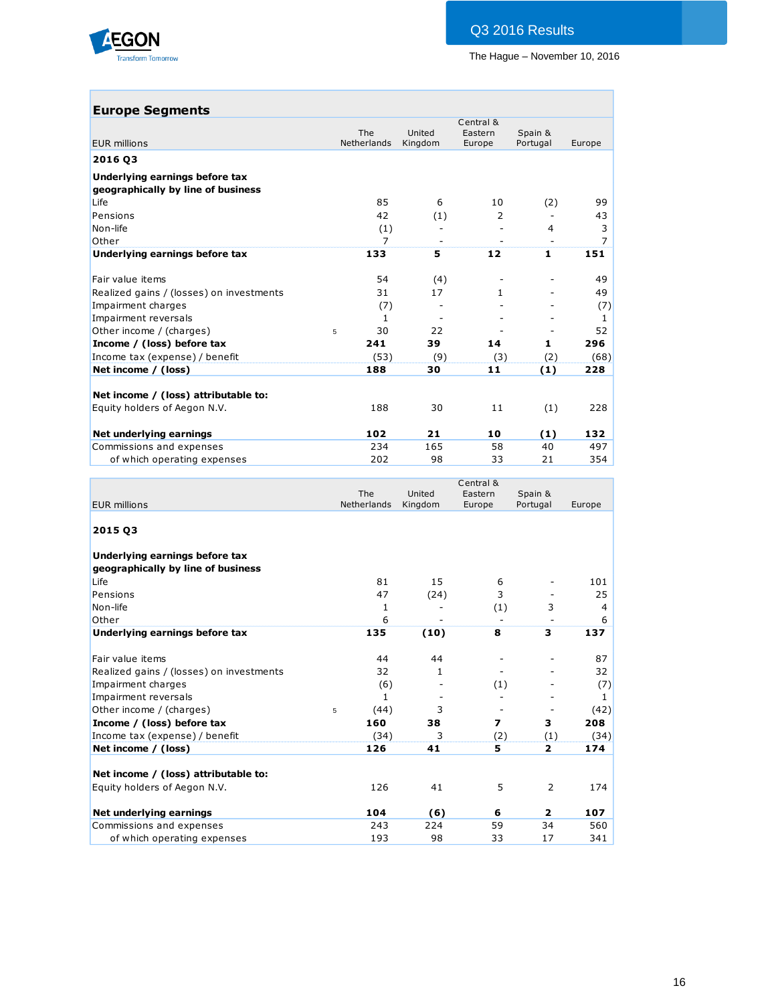

## **Europe Segments**

| The<br>United<br>Eastern<br>Spain &<br>Netherlands<br>Kingdom<br>Portugal<br><b>EUR millions</b><br>Europe<br>2016 03<br>Underlying earnings before tax<br>geographically by line of business<br>85<br>6<br>Life<br>(2)<br>10<br>Pensions<br>42<br>(1)<br>2<br>Non-life<br>(1)<br>4<br>Other<br>$\overline{7}$<br>133<br>5<br>12<br>$\mathbf{1}$<br>Underlying earnings before tax<br>54<br>Fair value items<br>(4)<br>31<br>Realized gains / (losses) on investments<br>17<br>1<br>Impairment charges<br>(7)<br>Impairment reversals<br>1<br>30<br>22<br>Other income / (charges)<br>5<br>Income / (loss) before tax<br>241<br>39<br>14<br>1<br>Income tax (expense) / benefit<br>(53)<br>(9)<br>(3)<br>(2)<br>Net income / (loss)<br>188<br>30<br>11<br>(1)<br>Net income / (loss) attributable to:<br>Equity holders of Aegon N.V.<br>188<br>30<br>(1)<br>11 |                         |     |    | Central & |     |        |
|-----------------------------------------------------------------------------------------------------------------------------------------------------------------------------------------------------------------------------------------------------------------------------------------------------------------------------------------------------------------------------------------------------------------------------------------------------------------------------------------------------------------------------------------------------------------------------------------------------------------------------------------------------------------------------------------------------------------------------------------------------------------------------------------------------------------------------------------------------------------|-------------------------|-----|----|-----------|-----|--------|
|                                                                                                                                                                                                                                                                                                                                                                                                                                                                                                                                                                                                                                                                                                                                                                                                                                                                 |                         |     |    |           |     | Europe |
|                                                                                                                                                                                                                                                                                                                                                                                                                                                                                                                                                                                                                                                                                                                                                                                                                                                                 |                         |     |    |           |     |        |
|                                                                                                                                                                                                                                                                                                                                                                                                                                                                                                                                                                                                                                                                                                                                                                                                                                                                 |                         |     |    |           |     |        |
|                                                                                                                                                                                                                                                                                                                                                                                                                                                                                                                                                                                                                                                                                                                                                                                                                                                                 |                         |     |    |           |     |        |
|                                                                                                                                                                                                                                                                                                                                                                                                                                                                                                                                                                                                                                                                                                                                                                                                                                                                 |                         |     |    |           |     | 99     |
|                                                                                                                                                                                                                                                                                                                                                                                                                                                                                                                                                                                                                                                                                                                                                                                                                                                                 |                         |     |    |           |     | 43     |
|                                                                                                                                                                                                                                                                                                                                                                                                                                                                                                                                                                                                                                                                                                                                                                                                                                                                 |                         |     |    |           |     | 3      |
|                                                                                                                                                                                                                                                                                                                                                                                                                                                                                                                                                                                                                                                                                                                                                                                                                                                                 |                         |     |    |           |     | 7      |
|                                                                                                                                                                                                                                                                                                                                                                                                                                                                                                                                                                                                                                                                                                                                                                                                                                                                 |                         |     |    |           |     | 151    |
|                                                                                                                                                                                                                                                                                                                                                                                                                                                                                                                                                                                                                                                                                                                                                                                                                                                                 |                         |     |    |           |     | 49     |
|                                                                                                                                                                                                                                                                                                                                                                                                                                                                                                                                                                                                                                                                                                                                                                                                                                                                 |                         |     |    |           |     | 49     |
|                                                                                                                                                                                                                                                                                                                                                                                                                                                                                                                                                                                                                                                                                                                                                                                                                                                                 |                         |     |    |           |     | (7)    |
|                                                                                                                                                                                                                                                                                                                                                                                                                                                                                                                                                                                                                                                                                                                                                                                                                                                                 |                         |     |    |           |     | 1      |
|                                                                                                                                                                                                                                                                                                                                                                                                                                                                                                                                                                                                                                                                                                                                                                                                                                                                 |                         |     |    |           |     | 52     |
|                                                                                                                                                                                                                                                                                                                                                                                                                                                                                                                                                                                                                                                                                                                                                                                                                                                                 |                         |     |    |           |     | 296    |
|                                                                                                                                                                                                                                                                                                                                                                                                                                                                                                                                                                                                                                                                                                                                                                                                                                                                 |                         |     |    |           |     | (68)   |
|                                                                                                                                                                                                                                                                                                                                                                                                                                                                                                                                                                                                                                                                                                                                                                                                                                                                 |                         |     |    |           |     | 228    |
|                                                                                                                                                                                                                                                                                                                                                                                                                                                                                                                                                                                                                                                                                                                                                                                                                                                                 |                         |     |    |           |     |        |
|                                                                                                                                                                                                                                                                                                                                                                                                                                                                                                                                                                                                                                                                                                                                                                                                                                                                 |                         |     |    |           |     | 228    |
|                                                                                                                                                                                                                                                                                                                                                                                                                                                                                                                                                                                                                                                                                                                                                                                                                                                                 | Net underlying earnings | 102 | 21 | 10        | (1) | 132    |
| Commissions and expenses<br>234<br>165<br>58<br>40                                                                                                                                                                                                                                                                                                                                                                                                                                                                                                                                                                                                                                                                                                                                                                                                              |                         |     |    |           |     | 497    |
| 202<br>98<br>33<br>21<br>of which operating expenses                                                                                                                                                                                                                                                                                                                                                                                                                                                                                                                                                                                                                                                                                                                                                                                                            |                         |     |    |           |     | 354    |

|                                          |             |                              | Central &                |                          |        |
|------------------------------------------|-------------|------------------------------|--------------------------|--------------------------|--------|
|                                          | The         | United                       | Eastern                  | Spain &                  |        |
| <b>EUR millions</b>                      | Netherlands | Kingdom                      | Europe                   | Portugal                 | Europe |
| 2015 Q3                                  |             |                              |                          |                          |        |
| Underlying earnings before tax           |             |                              |                          |                          |        |
| geographically by line of business       |             |                              |                          |                          |        |
| Life                                     | 81          | 15                           | 6                        |                          | 101    |
| Pensions                                 | 47          | (24)                         | 3                        |                          | 25     |
| Non-life                                 | 1           |                              | (1)                      | 3                        | 4      |
| Other                                    | 6           | $\qquad \qquad \blacksquare$ |                          | $\overline{\phantom{a}}$ | 6      |
| Underlying earnings before tax           | 135         | (10)                         | 8                        | 3                        | 137    |
| Fair value items                         | 44          | 44                           |                          |                          | 87     |
| Realized gains / (losses) on investments | 32          | $\mathbf{1}$                 |                          |                          | 32     |
| Impairment charges                       | (6)         |                              | (1)                      |                          | (7)    |
| Impairment reversals                     | 1           |                              |                          |                          | 1      |
| Other income / (charges)                 | (44)<br>5   | 3                            | $\overline{\phantom{a}}$ | $\overline{\phantom{a}}$ | (42)   |
| Income / (loss) before tax               | 160         | 38                           | $\overline{ }$           | 3                        | 208    |
| Income tax (expense) / benefit           | (34)        | 3                            | (2)                      | (1)                      | (34)   |
| Net income / (loss)                      | 126         | 41                           | 5                        | $\overline{2}$           | 174    |
| Net income / (loss) attributable to:     |             |                              |                          |                          |        |
| Equity holders of Aegon N.V.             | 126         | 41                           | 5                        | 2                        | 174    |
| Net underlying earnings                  | 104         | (6)                          | 6                        | $\overline{2}$           | 107    |
| Commissions and expenses                 | 243         | 224                          | 59                       | 34                       | 560    |
| of which operating expenses              | 193         | 98                           | 33                       | 17                       | 341    |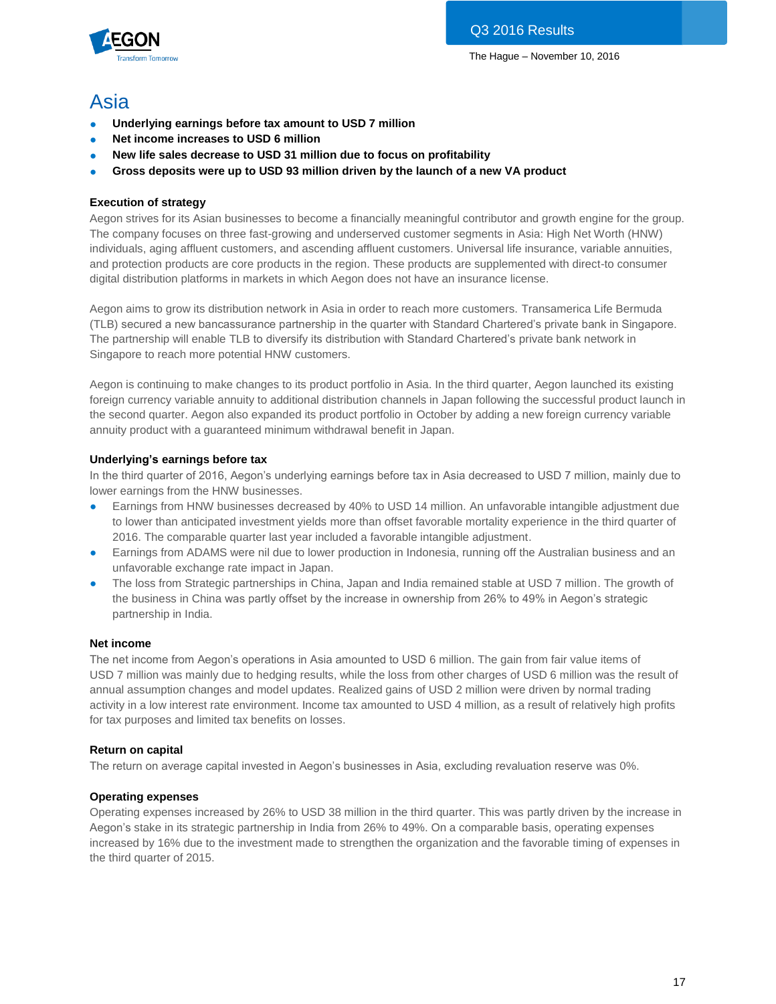

## Asia

- **Underlying earnings before tax amount to USD 7 million**
- **Net income increases to USD 6 million**
- New life sales decrease to USD 31 million due to focus on profitability
- **Gross deposits were up to USD 93 million driven by the launch of a new VA product**

### **Execution of strategy**

Aegon strives for its Asian businesses to become a financially meaningful contributor and growth engine for the group. The company focuses on three fast-growing and underserved customer segments in Asia: High Net Worth (HNW) individuals, aging affluent customers, and ascending affluent customers. Universal life insurance, variable annuities, and protection products are core products in the region. These products are supplemented with direct-to consumer digital distribution platforms in markets in which Aegon does not have an insurance license.

Aegon aims to grow its distribution network in Asia in order to reach more customers. Transamerica Life Bermuda (TLB) secured a new bancassurance partnership in the quarter with Standard Chartered's private bank in Singapore. The partnership will enable TLB to diversify its distribution with Standard Chartered's private bank network in Singapore to reach more potential HNW customers.

Aegon is continuing to make changes to its product portfolio in Asia. In the third quarter, Aegon launched its existing foreign currency variable annuity to additional distribution channels in Japan following the successful product launch in the second quarter. Aegon also expanded its product portfolio in October by adding a new foreign currency variable annuity product with a guaranteed minimum withdrawal benefit in Japan.

#### **Underlying's earnings before tax**

In the third quarter of 2016, Aegon's underlying earnings before tax in Asia decreased to USD 7 million, mainly due to lower earnings from the HNW businesses.

- Earnings from HNW businesses decreased by 40% to USD 14 million. An unfavorable intangible adjustment due to lower than anticipated investment yields more than offset favorable mortality experience in the third quarter of 2016. The comparable quarter last year included a favorable intangible adjustment.
- Earnings from ADAMS were nil due to lower production in Indonesia, running off the Australian business and an unfavorable exchange rate impact in Japan.
- The loss from Strategic partnerships in China, Japan and India remained stable at USD 7 million. The growth of the business in China was partly offset by the increase in ownership from 26% to 49% in Aegon's strategic partnership in India.

#### **Net income**

The net income from Aegon's operations in Asia amounted to USD 6 million. The gain from fair value items of USD 7 million was mainly due to hedging results, while the loss from other charges of USD 6 million was the result of annual assumption changes and model updates. Realized gains of USD 2 million were driven by normal trading activity in a low interest rate environment. Income tax amounted to USD 4 million, as a result of relatively high profits for tax purposes and limited tax benefits on losses.

#### **Return on capital**

The return on average capital invested in Aegon's businesses in Asia, excluding revaluation reserve was 0%.

#### **Operating expenses**

Operating expenses increased by 26% to USD 38 million in the third quarter. This was partly driven by the increase in Aegon's stake in its strategic partnership in India from 26% to 49%. On a comparable basis, operating expenses increased by 16% due to the investment made to strengthen the organization and the favorable timing of expenses in the third quarter of 2015.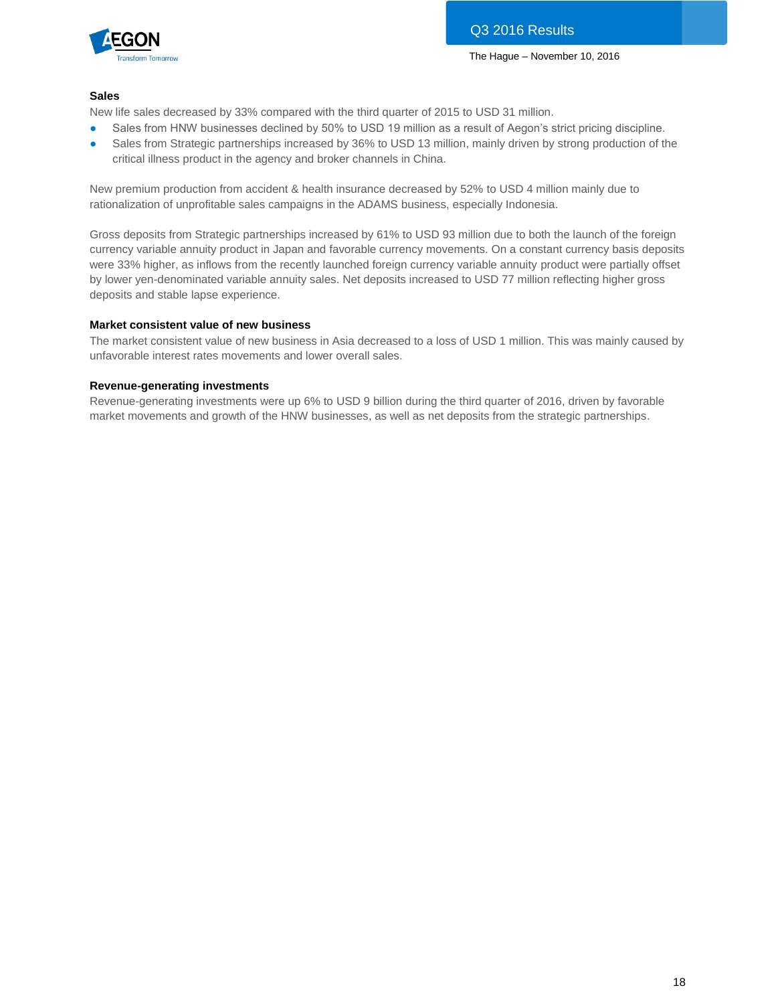

#### **Sales**

New life sales decreased by 33% compared with the third quarter of 2015 to USD 31 million.

- Sales from HNW businesses declined by 50% to USD 19 million as a result of Aegon's strict pricing discipline.
- Sales from Strategic partnerships increased by 36% to USD 13 million, mainly driven by strong production of the critical illness product in the agency and broker channels in China.

New premium production from accident & health insurance decreased by 52% to USD 4 million mainly due to rationalization of unprofitable sales campaigns in the ADAMS business, especially Indonesia.

Gross deposits from Strategic partnerships increased by 61% to USD 93 million due to both the launch of the foreign currency variable annuity product in Japan and favorable currency movements. On a constant currency basis deposits were 33% higher, as inflows from the recently launched foreign currency variable annuity product were partially offset by lower yen-denominated variable annuity sales. Net deposits increased to USD 77 million reflecting higher gross deposits and stable lapse experience.

#### **Market consistent value of new business**

The market consistent value of new business in Asia decreased to a loss of USD 1 million. This was mainly caused by unfavorable interest rates movements and lower overall sales.

#### **Revenue-generating investments**

Revenue-generating investments were up 6% to USD 9 billion during the third quarter of 2016, driven by favorable market movements and growth of the HNW businesses, as well as net deposits from the strategic partnerships.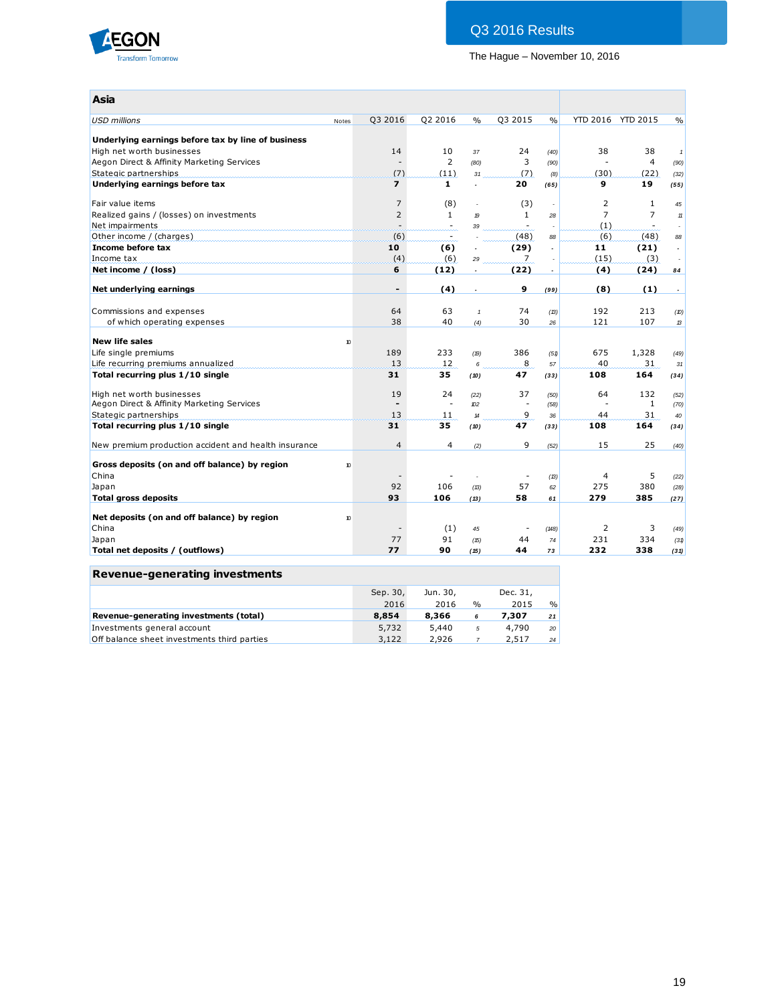

## Q3 2016 Results

The Hague – November 10, 2016

| Asia                                                                   |       |                                 |                        |                            |                          |                          |                      |                   |                          |
|------------------------------------------------------------------------|-------|---------------------------------|------------------------|----------------------------|--------------------------|--------------------------|----------------------|-------------------|--------------------------|
| <b>USD millions</b>                                                    | Notes | Q3 2016                         | Q2 2016                | $\frac{0}{0}$              | Q3 2015                  | $\frac{0}{0}$            |                      | YTD 2016 YTD 2015 | $\frac{0}{0}$            |
|                                                                        |       |                                 |                        |                            |                          |                          |                      |                   |                          |
| Underlying earnings before tax by line of business                     |       |                                 |                        |                            |                          |                          |                      |                   |                          |
| High net worth businesses                                              |       | 14                              | 10                     | 37                         | 24                       | (40)                     | 38<br>$\overline{a}$ | 38                | $\mathbf{1}$             |
| Aegon Direct & Affinity Marketing Services                             |       |                                 | $\overline{2}$<br>(11) | (80)                       | 3<br>(7)                 | (90)                     |                      | 4<br>(22)         | (90)                     |
| Stategic partnerships<br>Underlying earnings before tax                |       | (7)<br>$\overline{\phantom{a}}$ | $\mathbf{1}$           | 31<br>L.                   | 20                       | (8)                      | (30)<br>9            | 19                | (32)                     |
|                                                                        |       |                                 |                        |                            |                          | (65)                     |                      |                   | (55)                     |
| Fair value items                                                       |       | 7                               | (8)                    | ÷,                         | (3)                      | $\sim$                   | $\overline{2}$       | $\mathbf{1}$      | 45                       |
| Realized gains / (losses) on investments                               |       | $\overline{2}$                  | $\mathbf{1}$           | $\boldsymbol{p}$           | 1                        | 28                       | $\overline{7}$       | $\overline{7}$    | 11                       |
| Net impairments                                                        |       | $\overline{a}$                  | $\mathbf{r}$           | 39                         | $\blacksquare$           | ÷.                       | (1)                  | $\sim$            | $\sim$                   |
| Other income / (charges)                                               |       | (6)                             | ż.                     |                            | (48)                     | 88                       | (6)                  | (48)              | 88                       |
| Income before tax                                                      |       | 10                              | (6)                    | $\overline{\phantom{a}}$   | (29)                     | L.                       | 11                   | (21)              | $\overline{\phantom{a}}$ |
| Income tax                                                             |       | (4)                             | (6)                    | 29                         | 7                        |                          | (15)                 | (3)               |                          |
| Net income / (loss)                                                    |       | 6                               | (12)                   | ÷                          | (22)                     | $\overline{\phantom{a}}$ | (4)                  | (24)              | 84                       |
| Net underlying earnings                                                |       | $\overline{\phantom{a}}$        | (4)                    | $\overline{\phantom{a}}$   | 9                        | (99)                     | (8)                  | (1)               | $\overline{\phantom{a}}$ |
|                                                                        |       |                                 |                        |                            |                          |                          |                      |                   |                          |
| Commissions and expenses                                               |       | 64                              | 63                     | $\mathbf{1}$               | 74                       | (B)                      | 192                  | 213               | (10)                     |
| of which operating expenses                                            |       | 38                              | 40                     | (4)                        | 30                       | 26                       | 121                  | 107               | 13                       |
|                                                                        |       |                                 |                        |                            |                          |                          |                      |                   |                          |
| <b>New life sales</b>                                                  | 10    | 189                             | 233                    |                            |                          |                          | 675                  |                   |                          |
| Life single premiums                                                   |       | 13                              | 12                     | (19)                       | 386<br>8                 | (51)                     | 40                   | 1,328<br>31       | (49)                     |
| Life recurring premiums annualized<br>Total recurring plus 1/10 single |       | 31                              | 35                     | 6                          | 47                       | 57                       | 108                  | 164               | 31                       |
|                                                                        |       |                                 |                        | (10)                       |                          | (33)                     |                      |                   | (34)                     |
| High net worth businesses                                              |       | 19                              | 24                     | (22)                       | 37                       | (50)                     | 64                   | 132               | (52)                     |
| Aegon Direct & Affinity Marketing Services                             |       |                                 | $\overline{a}$         | 102                        | $\ddot{\phantom{1}}$     | (58)                     |                      | 1                 | (70)                     |
| Stategic partnerships                                                  |       | 13                              | 11                     | $\boldsymbol{\mathcal{A}}$ | 9                        | 36                       | 44                   | 31                | 40                       |
| Total recurring plus 1/10 single                                       |       | 31                              | 35                     | (10)                       | 47                       | (33)                     | 108                  | 164               | (34)                     |
| New premium production accident and health insurance                   |       | $\overline{4}$                  | 4                      | (2)                        | 9                        | (52)                     | 15                   | 25                | (40)                     |
|                                                                        |       |                                 |                        |                            |                          |                          |                      |                   |                          |
| Gross deposits (on and off balance) by region                          | 10    |                                 |                        |                            |                          |                          |                      |                   |                          |
| China                                                                  |       |                                 |                        |                            | $\overline{\phantom{a}}$ | (13)                     | 4                    | 5                 | (22)                     |
| Japan                                                                  |       | 92                              | 106                    | (B)                        | 57                       | 62                       | 275                  | 380               | (28)                     |
| <b>Total gross deposits</b>                                            |       | 93                              | 106                    | (13)                       | 58                       | 61                       | 279                  | 385               | (27)                     |
| Net deposits (on and off balance) by region                            | 10    |                                 |                        |                            |                          |                          |                      |                   |                          |
| China                                                                  |       |                                 | (1)                    | 45                         |                          | (148)                    | 2                    | 3                 | (49)                     |
| Japan                                                                  |       | 77                              | 91                     | (15)                       | 44                       | 74                       | 231                  | 334               | (31)                     |
| Total net deposits / (outflows)                                        |       | 77                              | 90                     | (15)                       | 44                       | 73                       | 232                  | 338               | (31)                     |
|                                                                        |       |                                 |                        |                            |                          |                          |                      |                   |                          |
| <b>Revenue-generating investments</b>                                  |       |                                 |                        |                            |                          |                          |                      |                   |                          |

| Revenue-generating investments              |          |          |      |          |                 |
|---------------------------------------------|----------|----------|------|----------|-----------------|
|                                             | Sep. 30, | Jun. 30, |      | Dec. 31, |                 |
|                                             | 2016     | 2016     | $\%$ | 2015     | $\frac{0}{0}$   |
| Revenue-generating investments (total)      | 8.854    | 8,366    | 6    | 7,307    | 21              |
| Investments general account                 | 5.732    | 5,440    | 5    | 4,790    | 20 <sub>1</sub> |
| Off balance sheet investments third parties | 3,122    | 2,926    |      | 2,517    | 24              |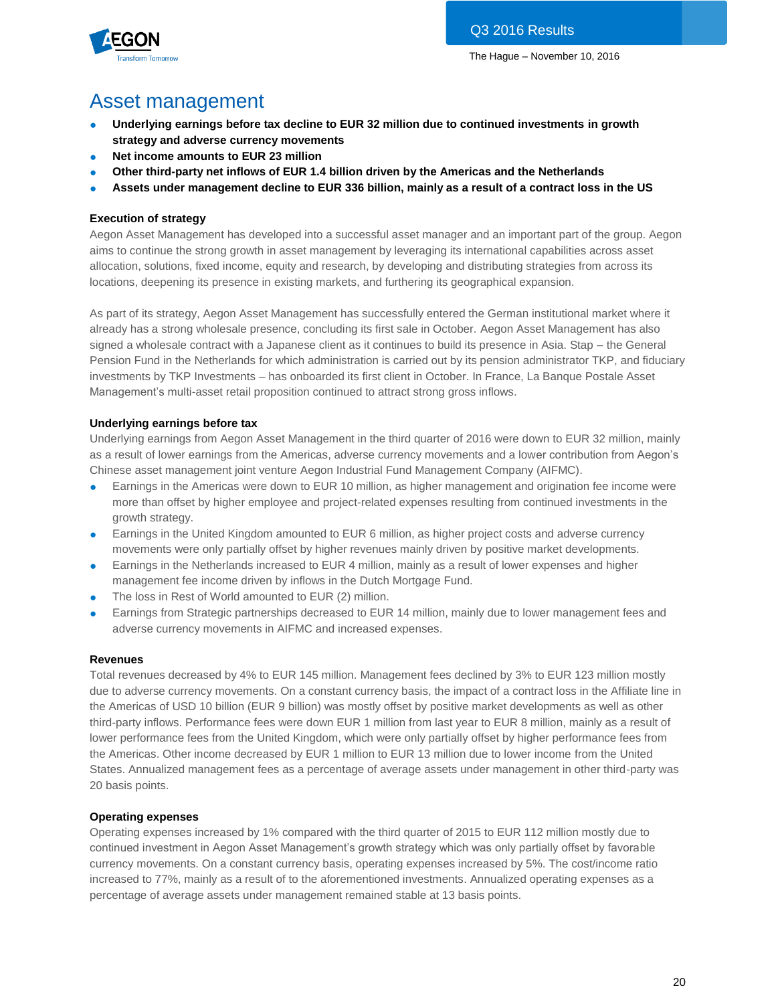

## Asset management

- Underlying earnings before tax decline to EUR 32 million due to continued investments in growth **strategy and adverse currency movements**
- **Net income amounts to EUR 23 million**
- Other third-party net inflows of EUR 1.4 billion driven by the Americas and the Netherlands
- **Assets under management decline to EUR 336 billion, mainly as a result of a contract loss in the US**

#### **Execution of strategy**

Aegon Asset Management has developed into a successful asset manager and an important part of the group. Aegon aims to continue the strong growth in asset management by leveraging its international capabilities across asset allocation, solutions, fixed income, equity and research, by developing and distributing strategies from across its locations, deepening its presence in existing markets, and furthering its geographical expansion.

As part of its strategy, Aegon Asset Management has successfully entered the German institutional market where it already has a strong wholesale presence, concluding its first sale in October. Aegon Asset Management has also signed a wholesale contract with a Japanese client as it continues to build its presence in Asia. Stap – the General Pension Fund in the Netherlands for which administration is carried out by its pension administrator TKP, and fiduciary investments by TKP Investments – has onboarded its first client in October. In France, La Banque Postale Asset Management's multi-asset retail proposition continued to attract strong gross inflows.

#### **Underlying earnings before tax**

Underlying earnings from Aegon Asset Management in the third quarter of 2016 were down to EUR 32 million, mainly as a result of lower earnings from the Americas, adverse currency movements and a lower contribution from Aegon's Chinese asset management joint venture Aegon Industrial Fund Management Company (AIFMC).

- Earnings in the Americas were down to EUR 10 million, as higher management and origination fee income were more than offset by higher employee and project-related expenses resulting from continued investments in the growth strategy.
- Earnings in the United Kingdom amounted to EUR 6 million, as higher project costs and adverse currency movements were only partially offset by higher revenues mainly driven by positive market developments.
- Earnings in the Netherlands increased to EUR 4 million, mainly as a result of lower expenses and higher management fee income driven by inflows in the Dutch Mortgage Fund.
- The loss in Rest of World amounted to EUR (2) million.
- Earnings from Strategic partnerships decreased to EUR 14 million, mainly due to lower management fees and adverse currency movements in AIFMC and increased expenses.

#### **Revenues**

Total revenues decreased by 4% to EUR 145 million. Management fees declined by 3% to EUR 123 million mostly due to adverse currency movements. On a constant currency basis, the impact of a contract loss in the Affiliate line in the Americas of USD 10 billion (EUR 9 billion) was mostly offset by positive market developments as well as other third-party inflows. Performance fees were down EUR 1 million from last year to EUR 8 million, mainly as a result of lower performance fees from the United Kingdom, which were only partially offset by higher performance fees from the Americas. Other income decreased by EUR 1 million to EUR 13 million due to lower income from the United States. Annualized management fees as a percentage of average assets under management in other third-party was 20 basis points.

#### **Operating expenses**

Operating expenses increased by 1% compared with the third quarter of 2015 to EUR 112 million mostly due to continued investment in Aegon Asset Management's growth strategy which was only partially offset by favorable currency movements. On a constant currency basis, operating expenses increased by 5%. The cost/income ratio increased to 77%, mainly as a result of to the aforementioned investments. Annualized operating expenses as a percentage of average assets under management remained stable at 13 basis points.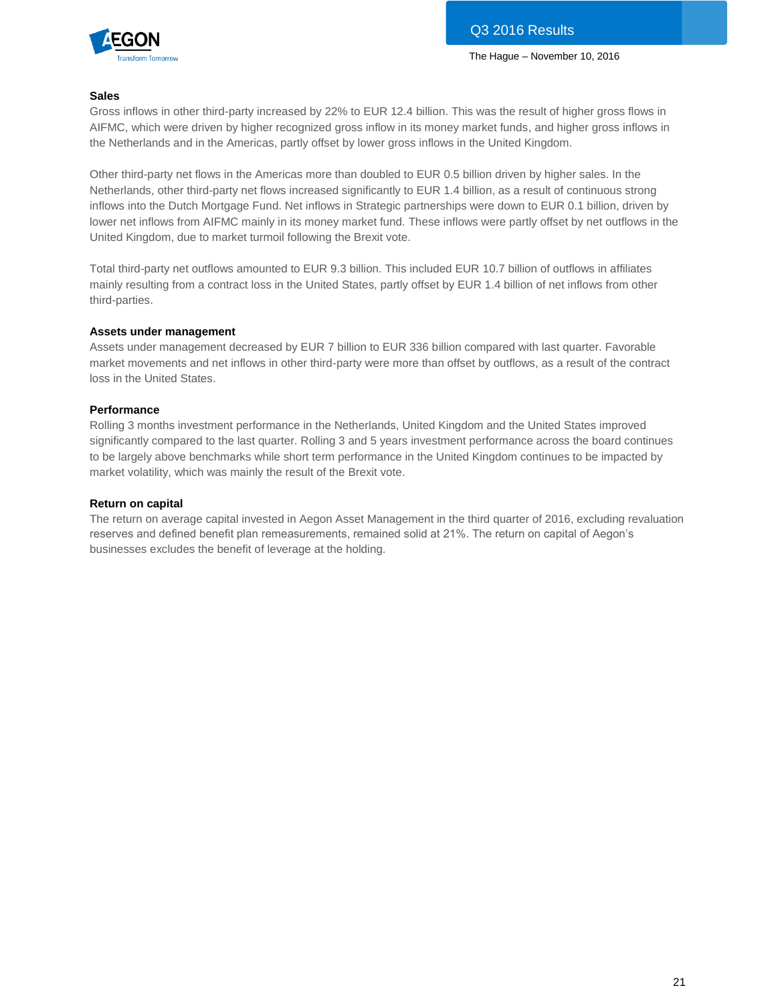

#### **Sales**

Gross inflows in other third-party increased by 22% to EUR 12.4 billion. This was the result of higher gross flows in AIFMC, which were driven by higher recognized gross inflow in its money market funds, and higher gross inflows in the Netherlands and in the Americas, partly offset by lower gross inflows in the United Kingdom.

Other third-party net flows in the Americas more than doubled to EUR 0.5 billion driven by higher sales. In the Netherlands, other third-party net flows increased significantly to EUR 1.4 billion, as a result of continuous strong inflows into the Dutch Mortgage Fund. Net inflows in Strategic partnerships were down to EUR 0.1 billion, driven by lower net inflows from AIFMC mainly in its money market fund. These inflows were partly offset by net outflows in the United Kingdom, due to market turmoil following the Brexit vote.

Total third-party net outflows amounted to EUR 9.3 billion. This included EUR 10.7 billion of outflows in affiliates mainly resulting from a contract loss in the United States, partly offset by EUR 1.4 billion of net inflows from other third-parties.

#### **Assets under management**

Assets under management decreased by EUR 7 billion to EUR 336 billion compared with last quarter. Favorable market movements and net inflows in other third-party were more than offset by outflows, as a result of the contract loss in the United States.

#### **Performance**

Rolling 3 months investment performance in the Netherlands, United Kingdom and the United States improved significantly compared to the last quarter. Rolling 3 and 5 years investment performance across the board continues to be largely above benchmarks while short term performance in the United Kingdom continues to be impacted by market volatility, which was mainly the result of the Brexit vote.

#### **Return on capital**

The return on average capital invested in Aegon Asset Management in the third quarter of 2016, excluding revaluation reserves and defined benefit plan remeasurements, remained solid at 21%. The return on capital of Aegon's businesses excludes the benefit of leverage at the holding.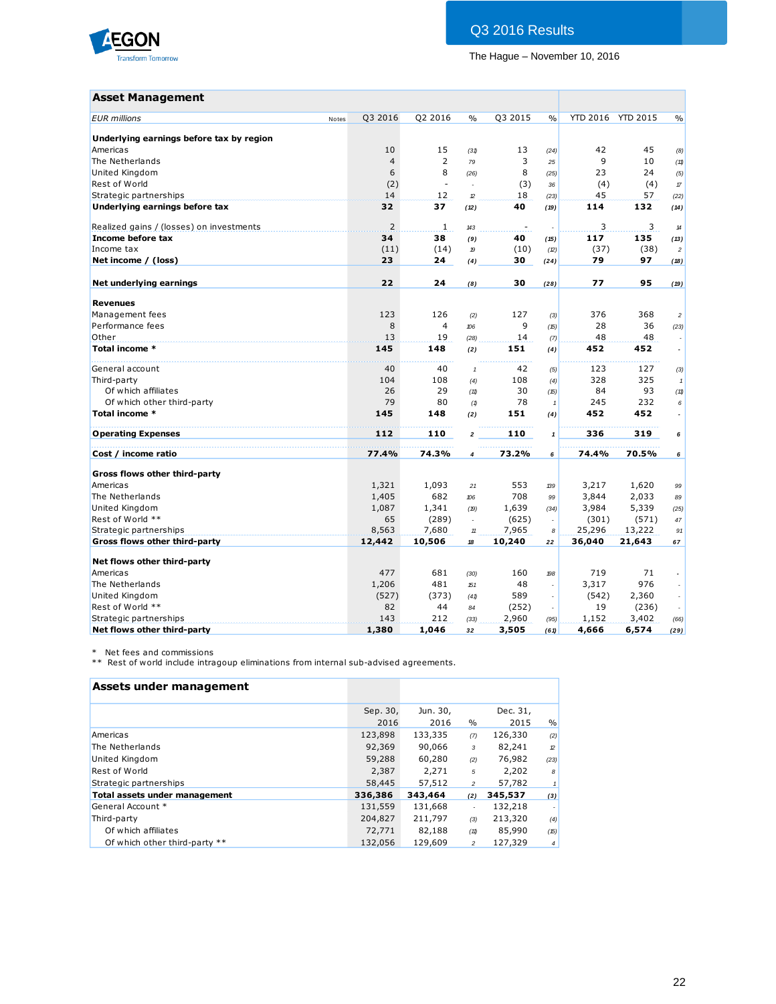

## Q3 2016 Results

The Hague – November 10, 2016

### **Asset Management**

| <b>Asset Management</b>                  |       |                |                |                         |         |                     |        |                   |                            |
|------------------------------------------|-------|----------------|----------------|-------------------------|---------|---------------------|--------|-------------------|----------------------------|
| <b>EUR</b> millions                      | Notes | Q3 2016        | Q2 2016        | $\frac{0}{0}$           | Q3 2015 | $\frac{0}{0}$       |        | YTD 2016 YTD 2015 | $\frac{0}{0}$              |
| Underlying earnings before tax by region |       |                |                |                         |         |                     |        |                   |                            |
| Americas                                 |       | 10             | 15             | (31)                    | 13      | (24)                | 42     | 45                | (8)                        |
| The Netherlands                          |       | $\overline{4}$ | $\overline{2}$ | 79                      | 3       | 25                  | 9      | 10                | (11)                       |
| United Kingdom                           |       | 6              | 8              | (26)                    | 8       | (25)                | 23     | 24                | (5)                        |
| Rest of World                            |       | (2)            | $\blacksquare$ | L                       | (3)     | 36                  | (4)    | (4)               | $\sqrt{7}$                 |
| Strategic partnerships                   |       | 14             | 12             | $\mathcal{D}$           | 18      | (23)                | 45     | 57                | (22)                       |
| Underlying earnings before tax           |       | 32             | 37             | (12)                    | 40      | (19)                | 114    | 132               | (14)                       |
| Realized gains / (losses) on investments |       | $\overline{2}$ | 1              | 143                     | $\sim$  |                     | 3      | 3                 | $\boldsymbol{\mathcal{A}}$ |
| Income before tax                        |       | 34             | 38             | (9)                     | 40      | (15)                | 117    | 135               | (13)                       |
| Income tax                               |       | (11)           | (14)           | $\boldsymbol{p}$        | (10)    | (2)                 | (37)   | (38)              | $\overline{c}$             |
| Net income / (loss)                      |       | 23             | 24             | (4)                     | 30      | (24)                | 79     | 97                | (18)                       |
| Net underlying earnings                  |       | 22             | 24             | (8)                     | 30      | (28)                | 77     | 95                | (19)                       |
| <b>Revenues</b>                          |       |                |                |                         |         |                     |        |                   |                            |
| Management fees                          |       | 123            | 126            | (2)                     | 127     | (3)                 | 376    | 368               | $\overline{c}$             |
| Performance fees                         |       | 8              | $\overline{4}$ | 106                     | 9       | (15)                | 28     | 36                | (23)                       |
| Other                                    |       | 13             | 19             | (28)                    | 14      | (7)                 | 48     | 48                |                            |
| Total income *                           |       | 145            | 148            | (2)                     | 151     | (4)                 | 452    | 452               | $\overline{\phantom{a}}$   |
| General account                          |       | 40             | 40             | $\mathbf{1}$            | 42      | (5)                 | 123    | 127               | (3)                        |
| Third-party                              |       | 104            | 108            | (4)                     | 108     | (4)                 | 328    | 325               | $\mathbf{1}$               |
| Of which affiliates                      |       | 26             | 29             | (11)                    | 30      | (15)                | 84     | 93                | (11)                       |
| Of which other third-party               |       | 79             | 80             | (1)                     | 78      | $\mathbf{1}$        | 245    | 232               | 6                          |
| Total income *                           |       | 145            | 148            | (2)                     | 151     | (4)                 | 452    | 452               | $\overline{\phantom{a}}$   |
| <b>Operating Expenses</b>                |       | 112            | 110            | $\overline{\mathbf{2}}$ | 110     | $\pmb{\mathcal{I}}$ | 336    | 319               | 6                          |
| Cost / income ratio                      |       | 77.4%          | 74.3%          | $\overline{\mathbf{4}}$ | 73.2%   | 6                   | 74.4%  | 70.5%             | 6                          |
| Gross flows other third-party            |       |                |                |                         |         |                     |        |                   |                            |
| Americas                                 |       | 1,321          | 1,093          | 21                      | 553     | 139                 | 3,217  | 1,620             | 99                         |
| The Netherlands                          |       | 1,405          | 682            | 106                     | 708     | 99                  | 3,844  | 2,033             | 89                         |
| United Kingdom                           |       | 1,087          | 1,341          | (19)                    | 1,639   | (34)                | 3,984  | 5,339             | (25)                       |
| Rest of World **                         |       | 65             | (289)          | $\Box$                  | (625)   | ÷,                  | (301)  | (571)             | 47                         |
| Strategic partnerships                   |       | 8,563          | 7,680          | $\mathbf{H}$            | 7,965   | 8                   | 25,296 | 13,222            | 91                         |
| Gross flows other third-party            |       | 12,442         | 10,506         | 18                      | 10,240  | 22                  | 36,040 | 21,643            | 67                         |
| Net flows other third-party              |       |                |                |                         |         |                     |        |                   |                            |
| Americas                                 |       | 477            | 681            | (30)                    | 160     | 198                 | 719    | 71                | $\overline{\phantom{a}}$   |
| The Netherlands                          |       | 1,206          | 481            | 151                     | 48      | ÷.                  | 3,317  | 976               | ÷                          |
| United Kingdom                           |       | (527)          | (373)          | (41)                    | 589     | $\Box$              | (542)  | 2,360             | $\sim$                     |
| Rest of World **                         |       | 82             | 44             | 84                      | (252)   | ÷                   | 19     | (236)             |                            |
| Strategic partnerships                   |       | 143            | 212            | (33)                    | 2,960   | (95)                | 1,152  | 3,402             | (66)                       |
| Net flows other third-party              |       | 1,380          | 1,046          | 32                      | 3,505   | (61)                | 4,666  | 6,574             | (29)                       |

\* Net fees and commissions

\*\* Rest of world include intragoup eliminations from internal sub-advised agreements.

#### **Assets under management**

|                               | Sep. 30, | Jun. 30, |                | Dec. 31, |                     |
|-------------------------------|----------|----------|----------------|----------|---------------------|
|                               | 2016     | 2016     | $\%$           | 2015     | $\%$                |
| Americas                      | 123,898  | 133,335  | (7)            | 126,330  | (2)                 |
| The Netherlands               | 92,369   | 90,066   | 3              | 82,241   | 2                   |
| United Kingdom                | 59,288   | 60,280   | (2)            | 76,982   | (23)                |
| Rest of World                 | 2,387    | 2,271    | 5              | 2,202    | 8                   |
| Strategic partnerships        | 58,445   | 57,512   | $\overline{c}$ | 57,782   | $\pmb{\mathcal{I}}$ |
| Total assets under management | 336,386  | 343,464  | (2)            | 345,537  | (3)                 |
| General Account *             | 131,559  | 131,668  |                | 132,218  |                     |
| Third-party                   | 204,827  | 211,797  | (3)            | 213,320  | (4)                 |
| Of which affiliates           | 72,771   | 82,188   | (11)           | 85,990   | (15)                |
| Of which other third-party ** | 132,056  | 129,609  | $\overline{c}$ | 127,329  | $\overline{4}$      |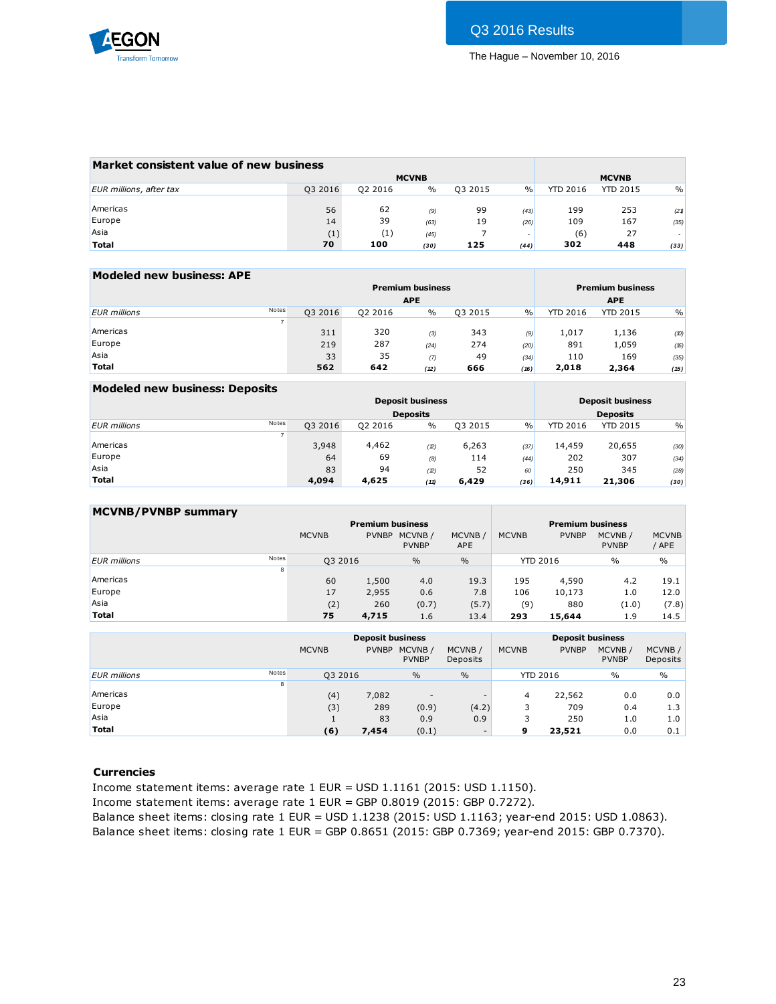

|         |                                         |      |              |      |                 | <b>MCVNB</b>    |               |
|---------|-----------------------------------------|------|--------------|------|-----------------|-----------------|---------------|
| Q3 2016 | Q2 2016                                 | $\%$ | Q3 2015      | $\%$ | <b>YTD 2016</b> | <b>YTD 2015</b> | $\frac{9}{6}$ |
|         |                                         |      |              |      |                 |                 |               |
| 56      | 62                                      | (9)  | 99           | (43) | 199             | 253             | (21)          |
| 14      | 39                                      | (63) | 19           | (26) | 109             | 167             | (35)          |
| (1)     | (1)                                     | (45) |              |      | (6)             | 27              |               |
| 70      | 100                                     | (30) | 125          | (44) | 302             | 448             | (33)          |
|         | Market consistent value of new business |      | <b>MCVNB</b> |      |                 |                 |               |

| Modeled new business: APE |       |         |         |                         |         |      |                 |                         |      |
|---------------------------|-------|---------|---------|-------------------------|---------|------|-----------------|-------------------------|------|
|                           |       |         |         | <b>Premium business</b> |         |      |                 | <b>Premium business</b> |      |
|                           |       |         |         | <b>APE</b>              |         |      |                 | <b>APE</b>              |      |
| <b>EUR</b> millions       | Notes | Q3 2016 | Q2 2016 | $\frac{0}{0}$           | Q3 2015 | $\%$ | <b>YTD 2016</b> | <b>YTD 2015</b>         | $\%$ |
|                           |       |         |         |                         |         |      |                 |                         |      |
| Americas                  |       | 311     | 320     | (3)                     | 343     | (9)  | 1,017           | 1,136                   | (10) |
| Europe                    |       | 219     | 287     | (24)                    | 274     | (20) | 891             | 1,059                   | (16) |
| Asia                      |       | 33      | 35      | (7)                     | 49      | (34) | 110             | 169                     | (35) |
| <b>Total</b>              |       | 562     | 642     | (12)                    | 666     | (16) | 2,018           | 2,364                   | (15) |

| Modeled new business: Deposits |         |         |                         |         |      |                 |                         |               |
|--------------------------------|---------|---------|-------------------------|---------|------|-----------------|-------------------------|---------------|
|                                |         |         | <b>Deposit business</b> |         |      |                 | <b>Deposit business</b> |               |
|                                |         |         | <b>Deposits</b>         |         |      |                 | <b>Deposits</b>         |               |
| Notes<br><b>EUR</b> millions   | Q3 2016 | 02 2016 | $\frac{0}{0}$           | Q3 2015 | $\%$ | <b>YTD 2016</b> | <b>YTD 2015</b>         | $\frac{0}{0}$ |
|                                |         |         |                         |         |      |                 |                         |               |
| Americas                       | 3,948   | 4,462   | (2)                     | 6,263   | (37) | 14,459          | 20,655                  | (30)          |
| Europe                         | 64      | 69      | (8)                     | 114     | (44) | 202             | 307                     | (34)          |
| Asia                           | 83      | 94      | (2)                     | 52      | 60   | 250             | 345                     | (28)          |
| <b>Total</b>                   | 4,094   | 4,625   | (11)                    | 6,429   | (36) | 14,911          | 21,306                  | (30)          |

| <b>MCVNB/PVNBP summary</b> |       |              |              | <b>Premium business</b> |                      |              | <b>Premium business</b> |                        |                       |
|----------------------------|-------|--------------|--------------|-------------------------|----------------------|--------------|-------------------------|------------------------|-----------------------|
|                            |       | <b>MCVNB</b> | <b>PVNBP</b> | MCVNB/<br><b>PVNBP</b>  | MCVNB/<br><b>APE</b> | <b>MCVNB</b> | <b>PVNBP</b>            | MCVNB/<br><b>PVNBP</b> | <b>MCVNB</b><br>/ APE |
| <b>EUR</b> millions        | Notes | Q3 2016      |              | $\frac{0}{0}$           | $\frac{0}{0}$        |              | <b>YTD 2016</b>         | $\%$                   | $\%$                  |
|                            | 8     |              |              |                         |                      |              |                         |                        |                       |
| Americas                   |       | 60           | 1,500        | 4.0                     | 19.3                 | 195          | 4,590                   | 4.2                    | 19.1                  |
| Europe                     |       | 17           | 2,955        | 0.6                     | 7.8                  | 106          | 10,173                  | 1.0                    | 12.0                  |
| Asia                       |       | (2)          | 260          | (0.7)                   | (5.7)                | (9)          | 880                     | (1.0)                  | (7.8)                 |
| <b>Total</b>               |       | 75           | 4,715        | 1.6                     | 13.4                 | 293          | 15,644                  | 1.9                    | 14.5                  |
|                            |       |              |              |                         |                      |              |                         |                        |                       |

|                     |       |              | <b>Deposit business</b> |                        |                          |              | <b>Deposit business</b> |                        |                    |
|---------------------|-------|--------------|-------------------------|------------------------|--------------------------|--------------|-------------------------|------------------------|--------------------|
|                     |       | <b>MCVNB</b> | <b>PVNBP</b>            | MCVNB/<br><b>PVNBP</b> | MCVNB/<br>Deposits       | <b>MCVNB</b> | <b>PVNBP</b>            | MCVNB/<br><b>PVNBP</b> | MCVNB/<br>Deposits |
| <b>EUR</b> millions | Notes | Q3 2016      |                         | $\frac{0}{0}$          | $\frac{0}{0}$            |              | <b>YTD 2016</b>         | $\%$                   | $\frac{0}{0}$      |
|                     | 8     |              |                         |                        |                          |              |                         |                        |                    |
| Americas            |       | (4)          | 7,082                   |                        | $\overline{\phantom{0}}$ | 4            | 22,562                  | 0.0                    | 0.0                |
| Europe              |       | (3)          | 289                     | (0.9)                  | (4.2)                    |              | 709                     | 0.4                    | 1.3                |
| Asia                |       | щ            | 83                      | 0.9                    | 0.9                      |              | 250                     | 1.0                    | 1.0                |
| <b>Total</b>        |       | (6)          | 7,454                   | (0.1)                  | $\overline{\phantom{0}}$ | 9            | 23,521                  | 0.0                    | 0.1                |

#### **Currencies**

Income statement items: average rate 1 EUR = USD 1.1161 (2015: USD 1.1150).

Income statement items: average rate 1 EUR = GBP 0.8019 (2015: GBP 0.7272).

Balance sheet items: closing rate 1 EUR = USD 1.1238 (2015: USD 1.1163; year-end 2015: USD 1.0863). Balance sheet items: closing rate 1 EUR = GBP 0.8651 (2015: GBP 0.7369; year-end 2015: GBP 0.7370).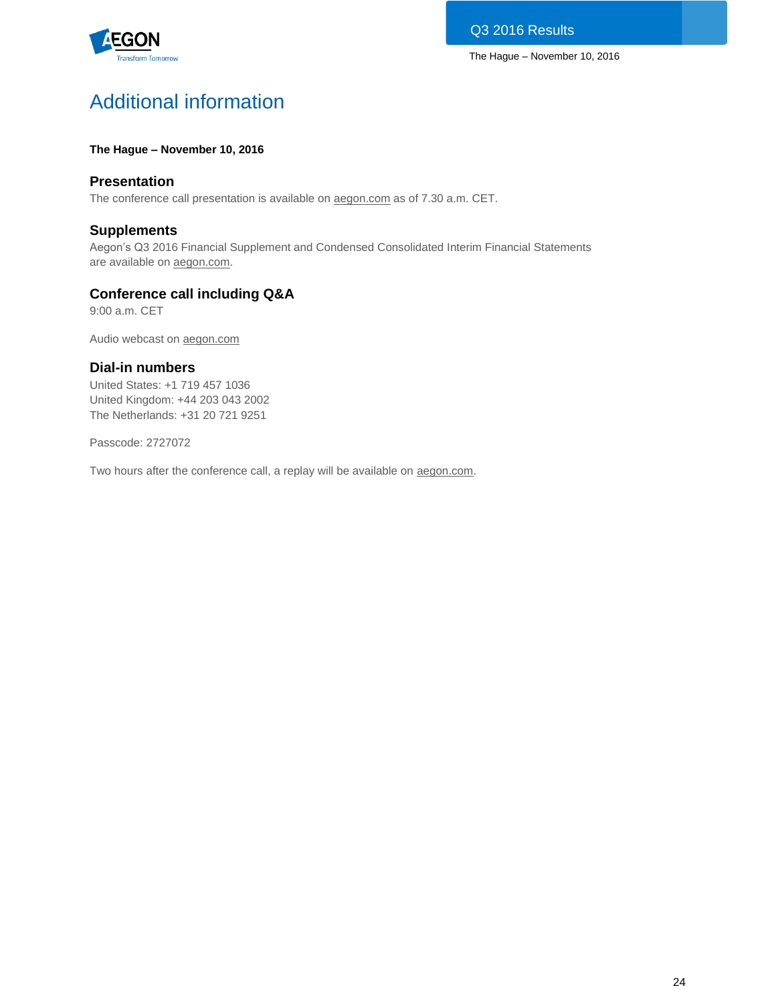

# Additional information

### **The Hague – November 10, 2016**

## **Presentation**

The conference call presentation is available on [aegon.com](http://www.aegon.com/results) as of 7.30 a.m. CET.

## **Supplements**

Aegon's Q3 2016 Financial Supplement and Condensed Consolidated Interim Financial Statements are available on [aegon.com.](http://www.aegon.com/results)

## **Conference call including Q&A**

9:00 a.m. CET

Audio webcast on [aegon.com](http://www.aegon.com/results)

## **Dial-in numbers**

United States: +1 719 457 1036 United Kingdom: +44 203 043 2002 The Netherlands: +31 20 721 9251

Passcode: 2727072

Two hours after the conference call, a replay will be available on [aegon.com.](http://www.aegon.com/results)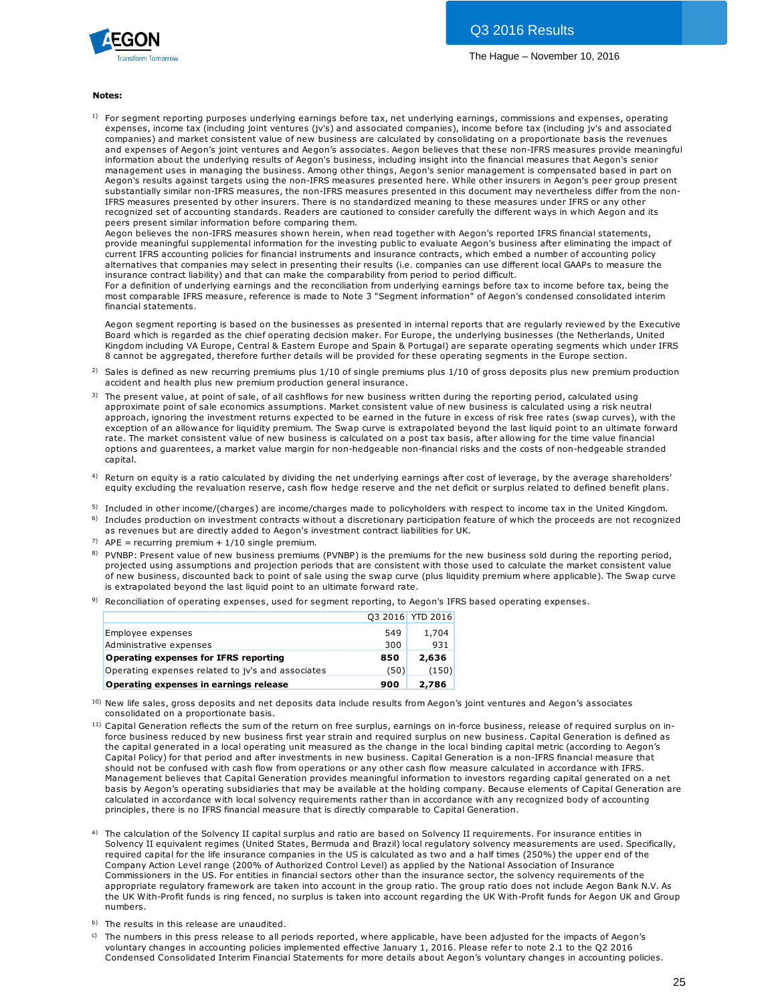

#### **Notes:**

1) For segment reporting purposes underlying earnings before tax, net underlying earnings, commissions and expenses, operating expenses, income tax (including joint ventures (jv's) and associated companies), income before tax (including jv's and associated **tes:**<br>For segment reporting purposes underlying earnings before tax, net underlying earnings, commissions and expenses, operating<br>expenses, income tax (including joint ventures (jv's) and associated companies), income bef and expenses of Aegon's joint ventures and Aegon's associates. Aegon believes that these non-IFRS measures provide meaningful information about the underlying results of Aegon's business, including insight into the financial measures that Aegon's senior management uses in managing the business. Among other things, Aegon's senior management is compensated based in part on Aegon's results against targets using the non-IFRS measures presented here. While other insurers in Aegon's peer group present substantially similar non-IFRS measures, the non-IFRS measures presented in this document may nevertheless differ from the non-IFRS measures presented by other insurers. There is no standardized meaning to these measures under IFRS or any other recognized set of accounting standards. Readers are cautioned to consider carefully the different ways in which Aegon and its peers present similar information before comparing them.

Aegon believes the non-IFRS measures shown herein, when read together with Aegon's reported IFRS financial statements, provide meaningful supplemental information for the investing public to evaluate Aegon's business after eliminating the impact of current IFRS accounting policies for financial instruments and insurance contracts, which embed a number of accounting policy alternatives that companies may select in presenting their results (i.e. companies can use different local GAAPs to measure the insurance contract liability) and that can make the comparability from period to period difficult.

For a definition of underlying earnings and the reconciliation from underlying earnings before tax to income before tax, being the most comparable IFRS measure, reference is made to Note 3 "Segment information" of Aegon's condensed consolidated interim financial statements.

Aegon segment reporting is based on the businesses as presented in internal reports that are regularly reviewed by the Executive Board which is regarded as the chief operating decision maker. For Europe, the underlying businesses (the Netherlands, United Kingdom including VA Europe, Central & Eastern Europe and Spain & Portugal) are separate operating segments which under IFRS 8 cannot be aggregated, therefore further details will be provided for these operating segments in the Europe section. Aegon segment reporting is based on the businesses as presented in internal reports that are regularly reviewed by the Executive<br>Board which is regarded as the chief operating decision maker. For Europe, the underlying bus Aegon segment reporting is based on the businesses as presented in<br>Board which is regarded as the chief operating decision maker. For Eu<br>Kingdom including VA Europe, Central & Eastern Europe and Spain & l<br>8 cannot be aggre Kingdom including VA Europe, Central & Eastern Europe and Spain & Portugal) are separate operating segments which uno<br>8 cannot be aggregated, therefore further details will be provided for these operating segments in the E

- <sup>2)</sup> Sales is defined as new recurring premiums plus  $1/10$  of single premiums plus  $1/10$  of gross deposits plus new premium production
- 3) The present value, at point of sale, of all cashflows for new business written during the reporting period, calculated using 8 cannot be aggregated, therefore further details will be provided for these operating segments in the Europe section.<br>Sales is defined as new recurring premiums plus 1/10 of single premiums plus 1/10 of gross deposits plu exception of an allowance for liquidity premium. The Swap curve is extrapolated beyond the last liquid point to an ultimate forward<br>rate. The market consistent value of new business is calculated on a post tax basis, after accident and health plus new premium production general insurance.<br>The present value, at point of sale, of all cashflows for new business written during the reporting period, calculated using<br>approximate point of sale econ options and guarentees, a market value margin for non-hedgeable non-financial risks and the costs of non-hedgeable stranded capital.
- $^{4)}$  Return on equity is a ratio calculated by dividing the net underlying earnings after cost of leverage, by the average shareholders' equity excluding the revaluation reserve, cash flow hedge reserve and the net deficit or surplus related to defined benefit plans.
- 5) Included in other income/(charges) are income/charges made to policyholders with respect to income tax in the United Kingdom.
- <sup>6)</sup> Includes production on investment contracts without a discretionary participation feature of which the proceeds are not recognized
- as revenues but are directly added to Aegon's investment contract liabilities for UK.
- <sup>7)</sup> APE = recurring premium +  $1/10$  single premium.
- <sup>8)</sup> PVNBP: Present value of new business premiums (PVNBP) is the premiums for the new business sold during the reporting period, Included in other income/(charges) are income/charges made to policyholders with respect to income tax in the United Kingdom.<br>Includes production on investment contracts without a discretionary participation feature of whi projected using assumptions and projection periods that are consistent with those used to calculate the market consistent value Includes production on investment contracts without a discretionary participation feature of which the proceeds are not recognized<br>as revenues but are directly added to Aegon's investment contract liabilities for UK.<br>APE = is extrapolated beyond the last liquid point to an ultimate forward rate.
- 9) Reconciliation of operating expenses, used for segment reporting, to Aegon's IFRS based operating expenses.

|                                                   |      | 03 2016 YTD 2016 |
|---------------------------------------------------|------|------------------|
| Employee expenses                                 | 549  | 1.704            |
| Administrative expenses                           | 300  | 931              |
| Operating expenses for IFRS reporting             | 850  | 2,636            |
| Operating expenses related to iv's and associates | (50) | (150)            |
| Operating expenses in earnings release            | 900  | 2,786            |

- <sup>11)</sup> Capital Generation reflects the sum of the return on free surplus, earnings on in-force business, release of required surplus on in-.<br>a ) **Subsequenting expenses in earnings release**<br> **Subsequentity** on a proportionate basis.<br>
Capital Generation reflects the sum of the return on free surplus, earnings on in-force business, release of required surplus on in-<br> the capital generated in a local operating unit measured as the change in the local binding capital metric (according to Aegon's New life sales, gross deposits and net deposits data include results from Aegon's joint ventures and Aegon's associates<br>consolidated on a proportionate basis.<br>Capital Generation reflects the sum of the return on free surpl consolidated on a proportionate basis.<br>Capital Generation reflects the sum of the return on free surplus, earnings on in-force business, release of required surplus<br>force business reduced by new business first year strain Management believes that Capital Generation provides meaningful information to investors regarding capital generated on a net basis by Aegon's operating subsidiaries that may be available at the holding company. Because elements of Capital Generation are calculated in accordance with local solvency requirements rather than in accordance with any recognized body of accounting principles, there is no IFRS financial measure that is directly comparable to Capital Generation.
- a) The calculation of the Solvency II capital surplus and ratio are based on Solvency II requirements. For insurance entities in Solvency II equivalent regimes (United States, Bermuda and Brazil) local regulatory solvency measurements are used. Specifically, required capital for the life insurance companies in the US is calculated as two and a half times (250%) the upper end of the Company Action Level range (200% of Authorized Control Level) as applied by the National Association of Insurance Commissioners in the US. For entities in financial sectors other than the insurance sector, the solvency requirements of the appropriate regulatory framework are taken into account in the group ratio. The group ratio does not include Aegon Bank N.V. As the UK With-Profit funds is ring fenced, no surplus is taken into account regarding the UK With-Profit funds for Aegon UK and Group numbers.
- b) The results in this release are unaudited.
- c) The numbers in this press release to all periods reported, where applicable, have been adjusted for the impacts of Aegon's voluntary changes in accounting policies implemented effective January 1, 2016. Please refer to note 2.1 to the Q2 2016 Condensed Consolidated Interim Financial Statements for more details about Aegon's voluntary changes in accounting policies.